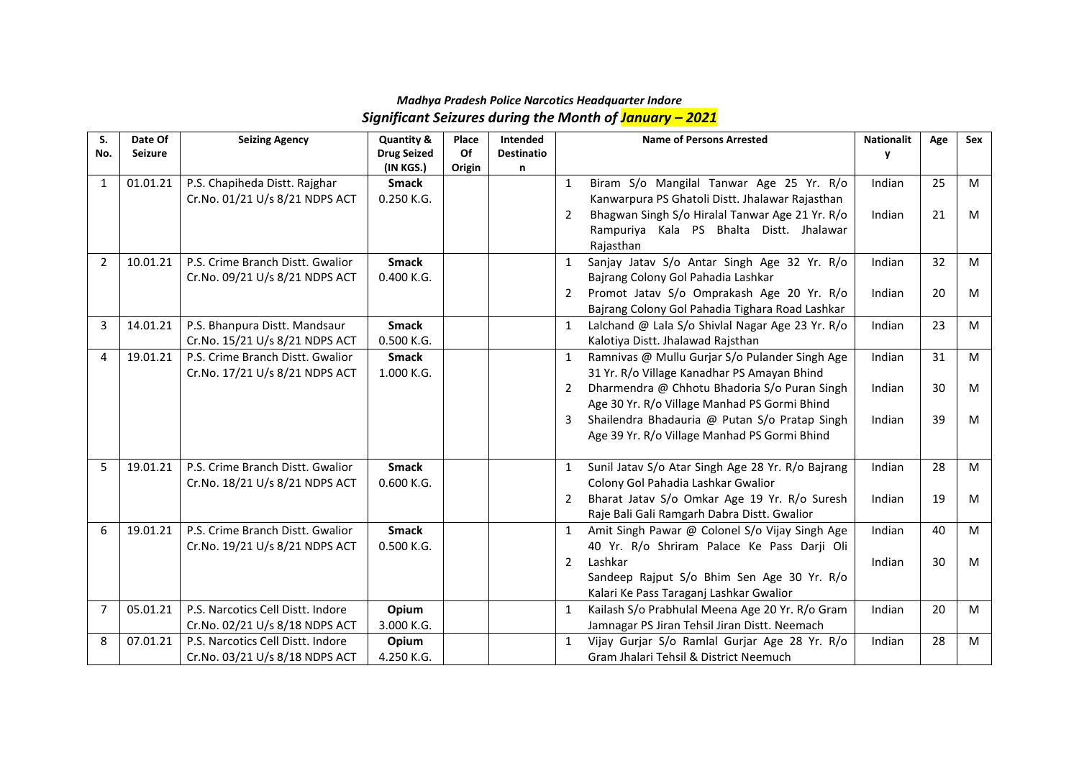### *Madhya Pradesh Police Narcotics Headquarter Indore Significant Seizures during the Month of January – 2021*

| S.           | Date Of        | <b>Seizing Agency</b>             | Quantity &         | Place  | Intended          |              | <b>Name of Persons Arrested</b>                   | <b>Nationalit</b> | Age | <b>Sex</b> |
|--------------|----------------|-----------------------------------|--------------------|--------|-------------------|--------------|---------------------------------------------------|-------------------|-----|------------|
| No.          | <b>Seizure</b> |                                   | <b>Drug Seized</b> | Of     | <b>Destinatio</b> |              |                                                   | v                 |     |            |
|              |                |                                   | (IN KGS.)          | Origin | n                 |              |                                                   |                   |     |            |
| $\mathbf{1}$ | 01.01.21       | P.S. Chapiheda Distt. Rajghar     | <b>Smack</b>       |        |                   | $\mathbf{1}$ | Biram S/o Mangilal Tanwar Age 25 Yr. R/o          | Indian            | 25  | M          |
|              |                | Cr.No. 01/21 U/s 8/21 NDPS ACT    | 0.250 K.G.         |        |                   |              | Kanwarpura PS Ghatoli Distt. Jhalawar Rajasthan   |                   |     |            |
|              |                |                                   |                    |        |                   | 2            | Bhagwan Singh S/o Hiralal Tanwar Age 21 Yr. R/o   | Indian            | 21  | M          |
|              |                |                                   |                    |        |                   |              | Rampuriya Kala PS Bhalta Distt. Jhalawar          |                   |     |            |
|              |                |                                   |                    |        |                   |              | Rajasthan                                         |                   |     |            |
| 2            | 10.01.21       | P.S. Crime Branch Distt. Gwalior  | <b>Smack</b>       |        |                   | $\mathbf{1}$ | Sanjay Jatav S/o Antar Singh Age 32 Yr. R/o       | Indian            | 32  | M          |
|              |                | Cr.No. 09/21 U/s 8/21 NDPS ACT    | 0.400 K.G.         |        |                   |              | Bajrang Colony Gol Pahadia Lashkar                |                   |     |            |
|              |                |                                   |                    |        |                   | 2            | Promot Jatav S/o Omprakash Age 20 Yr. R/o         | Indian            | 20  | M          |
|              |                |                                   |                    |        |                   |              | Bajrang Colony Gol Pahadia Tighara Road Lashkar   |                   |     |            |
| 3            | 14.01.21       | P.S. Bhanpura Distt. Mandsaur     | <b>Smack</b>       |        |                   | $\mathbf{1}$ | Lalchand @ Lala S/o Shivlal Nagar Age 23 Yr. R/o  | Indian            | 23  | M          |
|              |                | Cr.No. 15/21 U/s 8/21 NDPS ACT    | 0.500 K.G.         |        |                   |              | Kalotiya Distt. Jhalawad Rajsthan                 |                   |     |            |
| 4            | 19.01.21       | P.S. Crime Branch Distt. Gwalior  | <b>Smack</b>       |        |                   | $\mathbf{1}$ | Ramnivas @ Mullu Gurjar S/o Pulander Singh Age    | Indian            | 31  | M          |
|              |                | Cr.No. 17/21 U/s 8/21 NDPS ACT    | 1.000 K.G.         |        |                   |              | 31 Yr. R/o Village Kanadhar PS Amayan Bhind       |                   |     |            |
|              |                |                                   |                    |        |                   | 2            | Dharmendra @ Chhotu Bhadoria S/o Puran Singh      | Indian            | 30  | M          |
|              |                |                                   |                    |        |                   |              | Age 30 Yr. R/o Village Manhad PS Gormi Bhind      |                   |     |            |
|              |                |                                   |                    |        |                   | 3            | Shailendra Bhadauria @ Putan S/o Pratap Singh     | Indian            | 39  | M          |
|              |                |                                   |                    |        |                   |              | Age 39 Yr. R/o Village Manhad PS Gormi Bhind      |                   |     |            |
|              |                |                                   |                    |        |                   |              |                                                   |                   |     |            |
| 5            | 19.01.21       | P.S. Crime Branch Distt. Gwalior  | <b>Smack</b>       |        |                   | $\mathbf{1}$ | Sunil Jatav S/o Atar Singh Age 28 Yr. R/o Bajrang | Indian            | 28  | M          |
|              |                | Cr.No. 18/21 U/s 8/21 NDPS ACT    | 0.600 K.G.         |        |                   |              | Colony Gol Pahadia Lashkar Gwalior                |                   |     |            |
|              |                |                                   |                    |        |                   | 2            | Bharat Jatav S/o Omkar Age 19 Yr. R/o Suresh      | Indian            | 19  | M          |
|              |                |                                   |                    |        |                   |              | Raje Bali Gali Ramgarh Dabra Distt. Gwalior       |                   |     |            |
| 6            | 19.01.21       | P.S. Crime Branch Distt. Gwalior  | <b>Smack</b>       |        |                   | $\mathbf{1}$ | Amit Singh Pawar @ Colonel S/o Vijay Singh Age    | Indian            | 40  | M          |
|              |                | Cr.No. 19/21 U/s 8/21 NDPS ACT    | 0.500 K.G.         |        |                   |              | 40 Yr. R/o Shriram Palace Ke Pass Darji Oli       |                   |     |            |
|              |                |                                   |                    |        |                   | 2            | Lashkar                                           | Indian            | 30  | M          |
|              |                |                                   |                    |        |                   |              | Sandeep Rajput S/o Bhim Sen Age 30 Yr. R/o        |                   |     |            |
|              |                |                                   |                    |        |                   |              | Kalari Ke Pass Taraganj Lashkar Gwalior           |                   |     |            |
| 7            | 05.01.21       | P.S. Narcotics Cell Distt. Indore | Opium              |        |                   | 1            | Kailash S/o Prabhulal Meena Age 20 Yr. R/o Gram   | Indian            | 20  | M          |
|              |                | Cr.No. 02/21 U/s 8/18 NDPS ACT    | 3.000 K.G.         |        |                   |              | Jamnagar PS Jiran Tehsil Jiran Distt. Neemach     |                   |     |            |
| 8            | 07.01.21       | P.S. Narcotics Cell Distt. Indore | Opium              |        |                   | 1            | Vijay Gurjar S/o Ramlal Gurjar Age 28 Yr. R/o     | Indian            | 28  | M          |
|              |                | Cr.No. 03/21 U/s 8/18 NDPS ACT    | 4.250 K.G.         |        |                   |              | Gram Jhalari Tehsil & District Neemuch            |                   |     |            |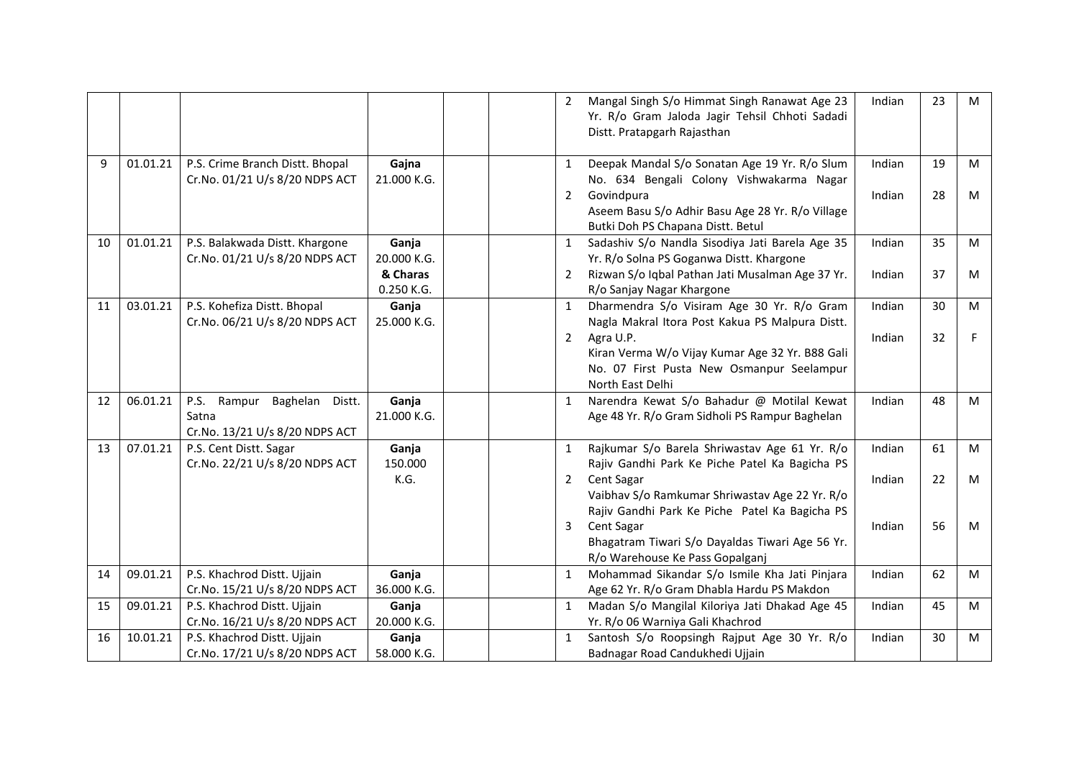|    |          |                                                                                  |                        | 2              | Mangal Singh S/o Himmat Singh Ranawat Age 23<br>Yr. R/o Gram Jaloda Jagir Tehsil Chhoti Sadadi<br>Distt. Pratapgarh Rajasthan | Indian | 23 | M  |
|----|----------|----------------------------------------------------------------------------------|------------------------|----------------|-------------------------------------------------------------------------------------------------------------------------------|--------|----|----|
| 9  | 01.01.21 | P.S. Crime Branch Distt. Bhopal<br>Cr.No. 01/21 U/s 8/20 NDPS ACT                | Gajna<br>21.000 K.G.   | 1              | Deepak Mandal S/o Sonatan Age 19 Yr. R/o Slum<br>No. 634 Bengali Colony Vishwakarma Nagar                                     | Indian | 19 | M  |
|    |          |                                                                                  |                        | $\overline{2}$ | Govindpura<br>Aseem Basu S/o Adhir Basu Age 28 Yr. R/o Village<br>Butki Doh PS Chapana Distt. Betul                           | Indian | 28 | M  |
| 10 | 01.01.21 | P.S. Balakwada Distt. Khargone<br>Cr.No. 01/21 U/s 8/20 NDPS ACT                 | Ganja<br>20.000 K.G.   | $\mathbf{1}$   | Sadashiv S/o Nandla Sisodiya Jati Barela Age 35<br>Yr. R/o Solna PS Goganwa Distt. Khargone                                   | Indian | 35 | M  |
|    |          |                                                                                  | & Charas<br>0.250 K.G. | 2              | Rizwan S/o Iqbal Pathan Jati Musalman Age 37 Yr.<br>R/o Sanjay Nagar Khargone                                                 | Indian | 37 | M  |
| 11 | 03.01.21 | P.S. Kohefiza Distt. Bhopal<br>Cr.No. 06/21 U/s 8/20 NDPS ACT                    | Ganja<br>25.000 K.G.   | 1              | Dharmendra S/o Visiram Age 30 Yr. R/o Gram<br>Nagla Makral Itora Post Kakua PS Malpura Distt.                                 | Indian | 30 | M  |
|    |          |                                                                                  |                        | $\overline{2}$ | Agra U.P.<br>Kiran Verma W/o Vijay Kumar Age 32 Yr. B88 Gali<br>No. 07 First Pusta New Osmanpur Seelampur<br>North East Delhi | Indian | 32 | F. |
| 12 | 06.01.21 | Rampur Baghelan Distt.<br><b>P.S.</b><br>Satna<br>Cr.No. 13/21 U/s 8/20 NDPS ACT | Ganja<br>21.000 K.G.   | $\mathbf{1}$   | Narendra Kewat S/o Bahadur @ Motilal Kewat<br>Age 48 Yr. R/o Gram Sidholi PS Rampur Baghelan                                  | Indian | 48 | M  |
| 13 | 07.01.21 | P.S. Cent Distt. Sagar<br>Cr.No. 22/21 U/s 8/20 NDPS ACT                         | Ganja<br>150.000       | $\mathbf{1}$   | Rajkumar S/o Barela Shriwastav Age 61 Yr. R/o<br>Rajiv Gandhi Park Ke Piche Patel Ka Bagicha PS                               | Indian | 61 | M  |
|    |          |                                                                                  | K.G.                   | $\overline{2}$ | Cent Sagar<br>Vaibhav S/o Ramkumar Shriwastav Age 22 Yr. R/o<br>Rajiv Gandhi Park Ke Piche Patel Ka Bagicha PS                | Indian | 22 | M  |
|    |          |                                                                                  |                        | 3              | Cent Sagar<br>Bhagatram Tiwari S/o Dayaldas Tiwari Age 56 Yr.<br>R/o Warehouse Ke Pass Gopalganj                              | Indian | 56 | M  |
| 14 | 09.01.21 | P.S. Khachrod Distt. Ujjain<br>Cr.No. 15/21 U/s 8/20 NDPS ACT                    | Ganja<br>36.000 K.G.   | $\mathbf{1}$   | Mohammad Sikandar S/o Ismile Kha Jati Pinjara<br>Age 62 Yr. R/o Gram Dhabla Hardu PS Makdon                                   | Indian | 62 | M  |
| 15 | 09.01.21 | P.S. Khachrod Distt. Ujjain<br>Cr.No. 16/21 U/s 8/20 NDPS ACT                    | Ganja<br>20.000 K.G.   | $\mathbf{1}$   | Madan S/o Mangilal Kiloriya Jati Dhakad Age 45<br>Yr. R/o 06 Warniya Gali Khachrod                                            | Indian | 45 | M  |
| 16 | 10.01.21 | P.S. Khachrod Distt. Ujjain<br>Cr.No. 17/21 U/s 8/20 NDPS ACT                    | Ganja<br>58.000 K.G.   | $\mathbf{1}$   | Santosh S/o Roopsingh Rajput Age 30 Yr. R/o<br>Badnagar Road Candukhedi Ujjain                                                | Indian | 30 | M  |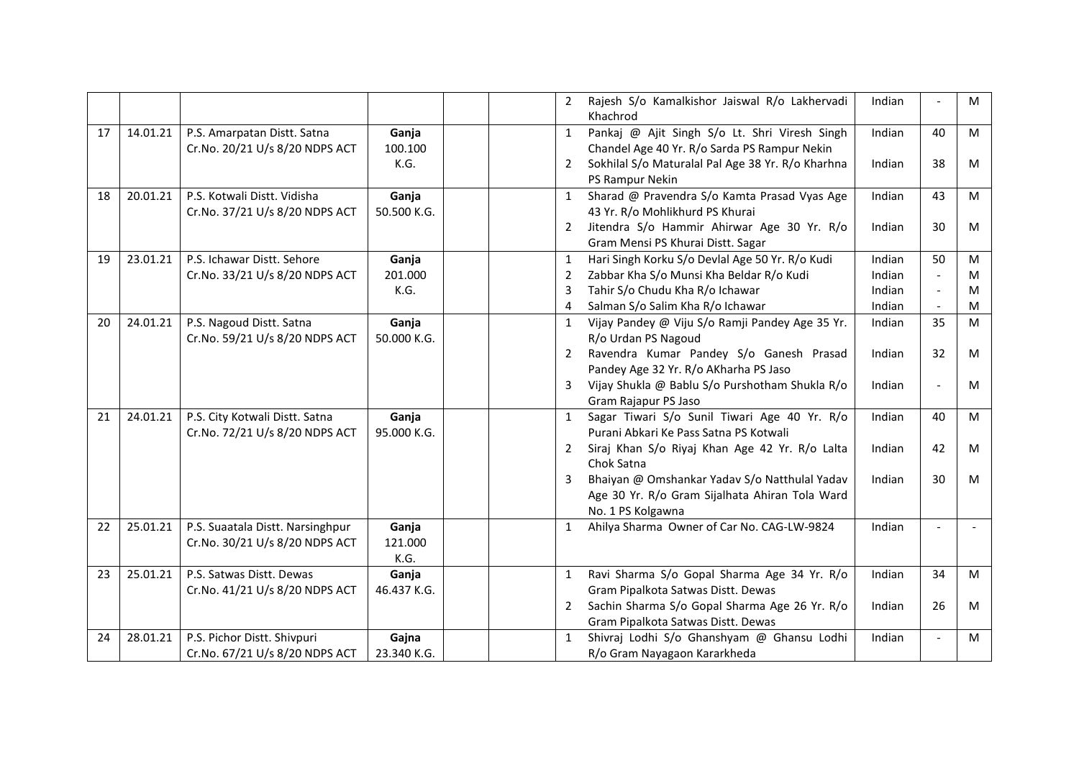|    |          |                                  |             | 2              | Rajesh S/o Kamalkishor Jaiswal R/o Lakhervadi<br>Khachrod | Indian |                          | M |
|----|----------|----------------------------------|-------------|----------------|-----------------------------------------------------------|--------|--------------------------|---|
| 17 | 14.01.21 | P.S. Amarpatan Distt. Satna      | Ganja       | $\mathbf{1}$   | Pankaj @ Ajit Singh S/o Lt. Shri Viresh Singh             | Indian | 40                       | M |
|    |          | Cr.No. 20/21 U/s 8/20 NDPS ACT   | 100.100     |                | Chandel Age 40 Yr. R/o Sarda PS Rampur Nekin              |        |                          |   |
|    |          |                                  | K.G.        | 2              | Sokhilal S/o Maturalal Pal Age 38 Yr. R/o Kharhna         | Indian | 38                       | M |
|    |          |                                  |             |                | PS Rampur Nekin                                           |        |                          |   |
| 18 | 20.01.21 | P.S. Kotwali Distt. Vidisha      | Ganja       | $\mathbf{1}$   | Sharad @ Pravendra S/o Kamta Prasad Vyas Age              | Indian | 43                       | M |
|    |          | Cr.No. 37/21 U/s 8/20 NDPS ACT   | 50.500 K.G. |                | 43 Yr. R/o Mohlikhurd PS Khurai                           |        |                          |   |
|    |          |                                  |             | 2              | Jitendra S/o Hammir Ahirwar Age 30 Yr. R/o                | Indian | 30                       | M |
|    |          |                                  |             |                | Gram Mensi PS Khurai Distt. Sagar                         |        |                          |   |
| 19 | 23.01.21 | P.S. Ichawar Distt. Sehore       | Ganja       | 1              | Hari Singh Korku S/o Devlal Age 50 Yr. R/o Kudi           | Indian | 50                       | M |
|    |          | Cr.No. 33/21 U/s 8/20 NDPS ACT   | 201.000     | 2              | Zabbar Kha S/o Munsi Kha Beldar R/o Kudi                  | Indian |                          | M |
|    |          |                                  | K.G.        | 3              | Tahir S/o Chudu Kha R/o Ichawar                           | Indian |                          | M |
|    |          |                                  |             | 4              | Salman S/o Salim Kha R/o Ichawar                          | Indian |                          | M |
| 20 | 24.01.21 | P.S. Nagoud Distt. Satna         | Ganja       | 1              | Vijay Pandey @ Viju S/o Ramji Pandey Age 35 Yr.           | Indian | 35                       | M |
|    |          | Cr.No. 59/21 U/s 8/20 NDPS ACT   | 50.000 K.G. |                | R/o Urdan PS Nagoud                                       |        |                          |   |
|    |          |                                  |             | 2              | Ravendra Kumar Pandey S/o Ganesh Prasad                   | Indian | 32                       | M |
|    |          |                                  |             |                | Pandey Age 32 Yr. R/o AKharha PS Jaso                     |        |                          |   |
|    |          |                                  |             | 3              | Vijay Shukla @ Bablu S/o Purshotham Shukla R/o            | Indian | $\overline{\phantom{a}}$ | M |
|    |          |                                  |             |                | Gram Rajapur PS Jaso                                      |        |                          |   |
| 21 | 24.01.21 | P.S. City Kotwali Distt. Satna   | Ganja       | $\mathbf{1}$   | Sagar Tiwari S/o Sunil Tiwari Age 40 Yr. R/o              | Indian | 40                       | M |
|    |          | Cr.No. 72/21 U/s 8/20 NDPS ACT   | 95.000 K.G. |                | Purani Abkari Ke Pass Satna PS Kotwali                    |        |                          |   |
|    |          |                                  |             | 2              | Siraj Khan S/o Riyaj Khan Age 42 Yr. R/o Lalta            | Indian | 42                       | M |
|    |          |                                  |             |                | Chok Satna                                                |        |                          |   |
|    |          |                                  |             | 3              | Bhaiyan @ Omshankar Yadav S/o Natthulal Yadav             | Indian | 30                       | M |
|    |          |                                  |             |                | Age 30 Yr. R/o Gram Sijalhata Ahiran Tola Ward            |        |                          |   |
|    |          |                                  |             |                | No. 1 PS Kolgawna                                         |        |                          |   |
| 22 | 25.01.21 | P.S. Suaatala Distt. Narsinghpur | Ganja       | 1              | Ahilya Sharma Owner of Car No. CAG-LW-9824                | Indian |                          |   |
|    |          | Cr.No. 30/21 U/s 8/20 NDPS ACT   | 121.000     |                |                                                           |        |                          |   |
|    |          |                                  | K.G.        |                |                                                           |        |                          |   |
| 23 | 25.01.21 | P.S. Satwas Distt. Dewas         | Ganja       | 1              | Ravi Sharma S/o Gopal Sharma Age 34 Yr. R/o               | Indian | 34                       | M |
|    |          | Cr.No. 41/21 U/s 8/20 NDPS ACT   | 46.437 K.G. |                | Gram Pipalkota Satwas Distt. Dewas                        |        |                          |   |
|    |          |                                  |             | $\overline{2}$ | Sachin Sharma S/o Gopal Sharma Age 26 Yr. R/o             | Indian | 26                       | M |
|    |          |                                  |             |                | Gram Pipalkota Satwas Distt. Dewas                        |        |                          |   |
| 24 | 28.01.21 | P.S. Pichor Distt. Shivpuri      | Gajna       | $\mathbf{1}$   | Shivraj Lodhi S/o Ghanshyam @ Ghansu Lodhi                | Indian |                          | M |
|    |          | Cr.No. 67/21 U/s 8/20 NDPS ACT   | 23.340 K.G. |                | R/o Gram Nayagaon Kararkheda                              |        |                          |   |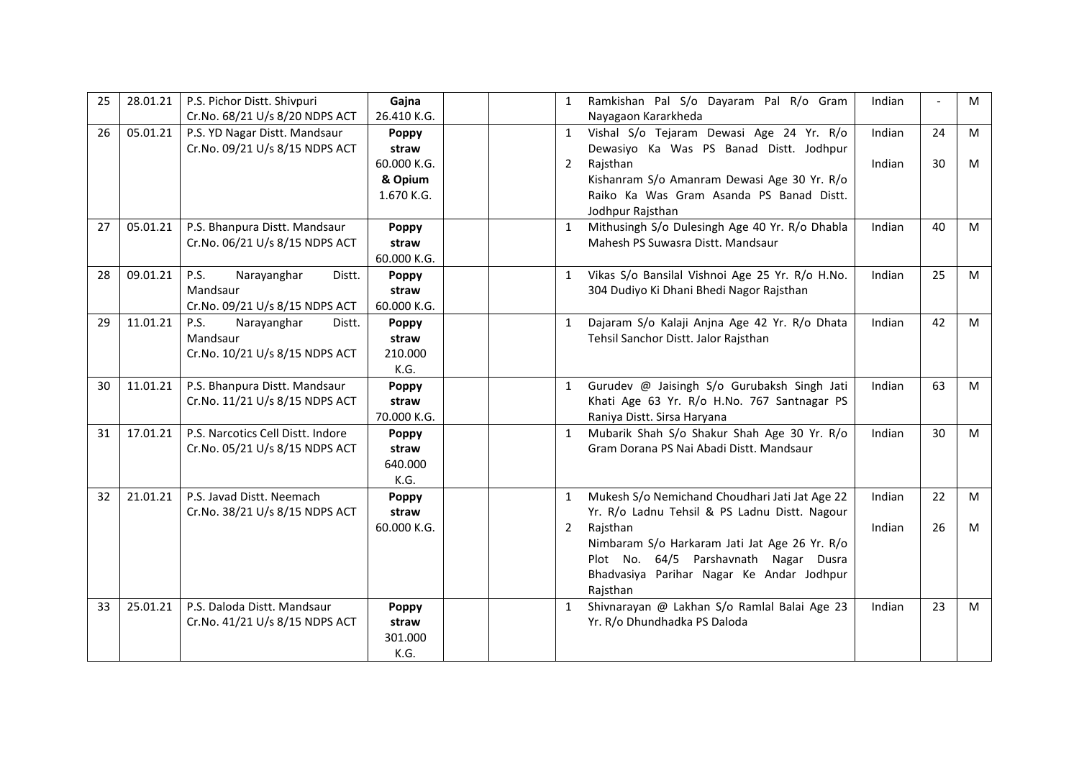| 25 | 28.01.21 | P.S. Pichor Distt. Shivpuri          | Gajna        |  | $\mathbf{1}$ | Ramkishan Pal S/o Dayaram Pal R/o Gram          | Indian |    | M |
|----|----------|--------------------------------------|--------------|--|--------------|-------------------------------------------------|--------|----|---|
|    |          | Cr.No. 68/21 U/s 8/20 NDPS ACT       | 26.410 K.G.  |  |              | Nayagaon Kararkheda                             |        |    |   |
| 26 | 05.01.21 | P.S. YD Nagar Distt. Mandsaur        | Poppy        |  | $\mathbf{1}$ | Vishal S/o Tejaram Dewasi Age 24 Yr. R/o        | Indian | 24 | M |
|    |          | Cr.No. 09/21 U/s 8/15 NDPS ACT       | straw        |  |              | Dewasiyo Ka Was PS Banad Distt. Jodhpur         |        |    |   |
|    |          |                                      | 60.000 K.G.  |  | 2            | Rajsthan                                        | Indian | 30 | M |
|    |          |                                      | & Opium      |  |              | Kishanram S/o Amanram Dewasi Age 30 Yr. R/o     |        |    |   |
|    |          |                                      | 1.670 K.G.   |  |              | Raiko Ka Was Gram Asanda PS Banad Distt.        |        |    |   |
|    |          |                                      |              |  |              | Jodhpur Rajsthan                                |        |    |   |
| 27 | 05.01.21 | P.S. Bhanpura Distt. Mandsaur        | Poppy        |  | $\mathbf{1}$ | Mithusingh S/o Dulesingh Age 40 Yr. R/o Dhabla  | Indian | 40 | M |
|    |          | Cr.No. 06/21 U/s 8/15 NDPS ACT       | straw        |  |              | Mahesh PS Suwasra Distt. Mandsaur               |        |    |   |
|    |          |                                      | 60.000 K.G.  |  |              |                                                 |        |    |   |
| 28 | 09.01.21 | <b>P.S.</b><br>Narayanghar<br>Distt. | Poppy        |  | $\mathbf{1}$ | Vikas S/o Bansilal Vishnoi Age 25 Yr. R/o H.No. | Indian | 25 | M |
|    |          | Mandsaur                             | straw        |  |              | 304 Dudiyo Ki Dhani Bhedi Nagor Rajsthan        |        |    |   |
|    |          | Cr.No. 09/21 U/s 8/15 NDPS ACT       | 60.000 K.G.  |  |              |                                                 |        |    |   |
| 29 | 11.01.21 | P.S.<br>Narayanghar<br>Distt.        | Poppy        |  | $\mathbf{1}$ | Dajaram S/o Kalaji Anjna Age 42 Yr. R/o Dhata   | Indian | 42 | M |
|    |          | Mandsaur                             | straw        |  |              | Tehsil Sanchor Distt. Jalor Rajsthan            |        |    |   |
|    |          | Cr.No. 10/21 U/s 8/15 NDPS ACT       | 210.000      |  |              |                                                 |        |    |   |
|    |          |                                      | K.G.         |  |              |                                                 |        |    |   |
| 30 | 11.01.21 | P.S. Bhanpura Distt. Mandsaur        | <b>Poppy</b> |  | $\mathbf{1}$ | Gurudev @ Jaisingh S/o Gurubaksh Singh Jati     | Indian | 63 | M |
|    |          | Cr.No. 11/21 U/s 8/15 NDPS ACT       | straw        |  |              | Khati Age 63 Yr. R/o H.No. 767 Santnagar PS     |        |    |   |
|    |          |                                      | 70.000 K.G.  |  |              | Raniya Distt. Sirsa Haryana                     |        |    |   |
| 31 | 17.01.21 | P.S. Narcotics Cell Distt. Indore    | Poppy        |  | $\mathbf{1}$ | Mubarik Shah S/o Shakur Shah Age 30 Yr. R/o     | Indian | 30 | M |
|    |          | Cr.No. 05/21 U/s 8/15 NDPS ACT       | straw        |  |              | Gram Dorana PS Nai Abadi Distt. Mandsaur        |        |    |   |
|    |          |                                      | 640.000      |  |              |                                                 |        |    |   |
|    |          |                                      | K.G.         |  |              |                                                 |        |    |   |
| 32 | 21.01.21 | P.S. Javad Distt. Neemach            | Poppy        |  | $\mathbf{1}$ | Mukesh S/o Nemichand Choudhari Jati Jat Age 22  | Indian | 22 | M |
|    |          | Cr.No. 38/21 U/s 8/15 NDPS ACT       | straw        |  |              | Yr. R/o Ladnu Tehsil & PS Ladnu Distt. Nagour   |        |    |   |
|    |          |                                      | 60.000 K.G.  |  | 2            | Rajsthan                                        | Indian | 26 | M |
|    |          |                                      |              |  |              | Nimbaram S/o Harkaram Jati Jat Age 26 Yr. R/o   |        |    |   |
|    |          |                                      |              |  |              | Plot No. 64/5 Parshavnath Nagar Dusra           |        |    |   |
|    |          |                                      |              |  |              | Bhadvasiya Parihar Nagar Ke Andar Jodhpur       |        |    |   |
|    |          |                                      |              |  |              | Rajsthan                                        |        |    |   |
| 33 | 25.01.21 | P.S. Daloda Distt. Mandsaur          | Poppy        |  | $\mathbf{1}$ | Shivnarayan @ Lakhan S/o Ramlal Balai Age 23    | Indian | 23 | M |
|    |          | Cr.No. 41/21 U/s 8/15 NDPS ACT       | straw        |  |              | Yr. R/o Dhundhadka PS Daloda                    |        |    |   |
|    |          |                                      | 301.000      |  |              |                                                 |        |    |   |
|    |          |                                      | K.G.         |  |              |                                                 |        |    |   |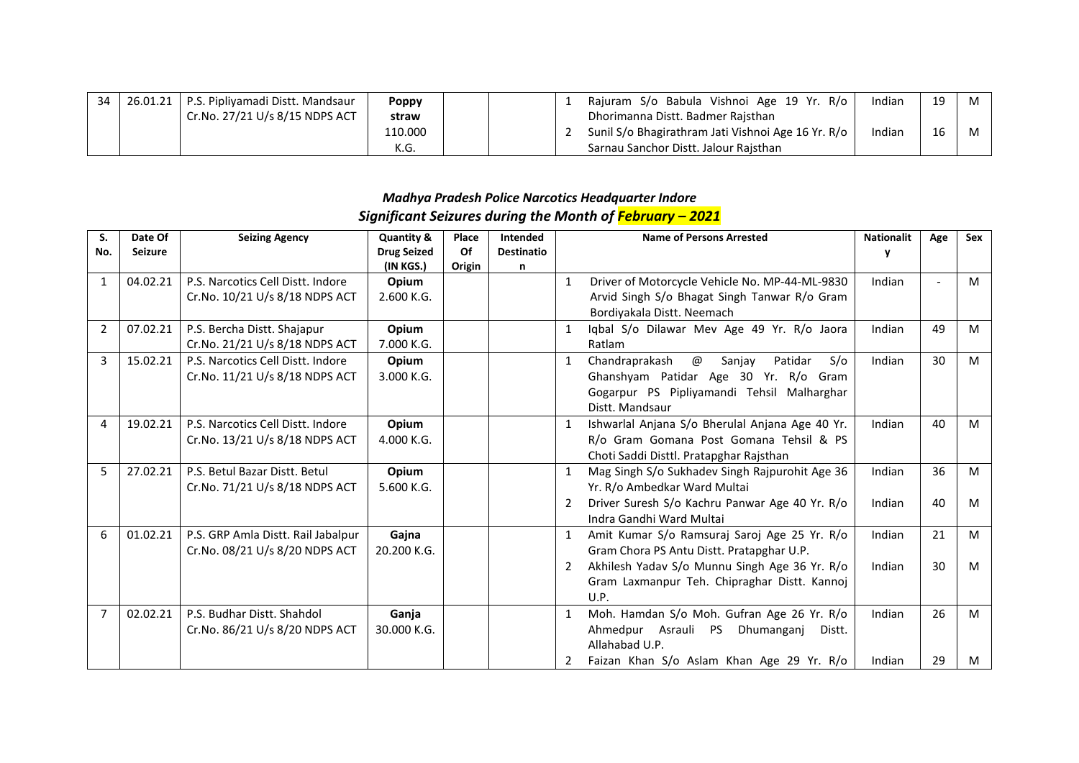| 26.01.21 | L   P.S. Pipliyamadi Distt. Mandsaur | <b>Poppy</b> |  | Rajuram S/o Babula Vishnoi Age 19 Yr. R/o          | Indian | 19 | M |
|----------|--------------------------------------|--------------|--|----------------------------------------------------|--------|----|---|
|          | Cr.No. 27/21 U/s 8/15 NDPS ACT       | straw        |  | Dhorimanna Distt. Badmer Raisthan                  |        |    |   |
|          |                                      | 110.000      |  | Sunil S/o Bhagirathram Jati Vishnoi Age 16 Yr. R/o | Indian | 16 | M |
|          |                                      | K.G.         |  | Sarnau Sanchor Distt. Jalour Rajsthan              |        |    |   |

|              | Significant Seizures during the Month of February – 2021 |                                                                      |                                               |                       |                                           |              |                                                                                                                                                           |                   |     |     |  |  |  |
|--------------|----------------------------------------------------------|----------------------------------------------------------------------|-----------------------------------------------|-----------------------|-------------------------------------------|--------------|-----------------------------------------------------------------------------------------------------------------------------------------------------------|-------------------|-----|-----|--|--|--|
| S.<br>No.    | Date Of<br><b>Seizure</b>                                | <b>Seizing Agency</b>                                                | Quantity &<br><b>Drug Seized</b><br>(IN KGS.) | Place<br>Of<br>Origin | <b>Intended</b><br><b>Destinatio</b><br>n |              | <b>Name of Persons Arrested</b>                                                                                                                           | <b>Nationalit</b> | Age | Sex |  |  |  |
| $\mathbf{1}$ | 04.02.21                                                 | P.S. Narcotics Cell Distt. Indore<br>Cr.No. 10/21 U/s 8/18 NDPS ACT  | Opium<br>2.600 K.G.                           |                       |                                           | $\mathbf{1}$ | Driver of Motorcycle Vehicle No. MP-44-ML-9830<br>Arvid Singh S/o Bhagat Singh Tanwar R/o Gram<br>Bordiyakala Distt. Neemach                              | Indian            |     | M   |  |  |  |
| 2            | 07.02.21                                                 | P.S. Bercha Distt. Shajapur<br>Cr.No. 21/21 U/s 8/18 NDPS ACT        | Opium<br>7.000 K.G.                           |                       |                                           |              | Iqbal S/o Dilawar Mev Age 49 Yr. R/o Jaora<br>Ratlam                                                                                                      | Indian            | 49  | M   |  |  |  |
| 3            | 15.02.21                                                 | P.S. Narcotics Cell Distt. Indore<br>Cr.No. 11/21 U/s 8/18 NDPS ACT  | Opium<br>3.000 K.G.                           |                       |                                           | 1            | @<br>Sanjay<br>Patidar<br>Chandraprakash<br>S/O<br>Ghanshyam Patidar Age 30 Yr. R/o Gram<br>Gogarpur PS Pipliyamandi Tehsil Malharghar<br>Distt. Mandsaur | Indian            | 30  | M   |  |  |  |
| 4            | 19.02.21                                                 | P.S. Narcotics Cell Distt. Indore<br>Cr.No. 13/21 U/s 8/18 NDPS ACT  | Opium<br>4.000 K.G.                           |                       |                                           | $\mathbf 1$  | Ishwarlal Anjana S/o Bherulal Anjana Age 40 Yr.<br>R/o Gram Gomana Post Gomana Tehsil & PS<br>Choti Saddi Disttl. Pratapghar Rajsthan                     | Indian            | 40  | M   |  |  |  |
| 5            | 27.02.21                                                 | P.S. Betul Bazar Distt. Betul<br>Cr.No. 71/21 U/s 8/18 NDPS ACT      | Opium<br>5.600 K.G.                           |                       |                                           | $\mathbf{1}$ | Mag Singh S/o Sukhadev Singh Rajpurohit Age 36<br>Yr. R/o Ambedkar Ward Multai                                                                            | Indian            | 36  | M   |  |  |  |
|              |                                                          |                                                                      |                                               |                       |                                           | 2            | Driver Suresh S/o Kachru Panwar Age 40 Yr. R/o<br>Indra Gandhi Ward Multai                                                                                | Indian            | 40  | M   |  |  |  |
| 6            | 01.02.21                                                 | P.S. GRP Amla Distt. Rail Jabalpur<br>Cr.No. 08/21 U/s 8/20 NDPS ACT | Gajna<br>20.200 K.G.                          |                       |                                           | 1            | Amit Kumar S/o Ramsuraj Saroj Age 25 Yr. R/o<br>Gram Chora PS Antu Distt. Pratapghar U.P.                                                                 | Indian            | 21  | M   |  |  |  |
|              |                                                          |                                                                      |                                               |                       |                                           | 2            | Akhilesh Yadav S/o Munnu Singh Age 36 Yr. R/o<br>Gram Laxmanpur Teh. Chipraghar Distt. Kannoj<br>U.P.                                                     | Indian            | 30  | M   |  |  |  |
| 7            | 02.02.21                                                 | P.S. Budhar Distt, Shahdol<br>Cr.No. 86/21 U/s 8/20 NDPS ACT         | Ganja<br>30.000 K.G.                          |                       |                                           | 1            | Moh. Hamdan S/o Moh. Gufran Age 26 Yr. R/o<br>Ahmedpur Asrauli PS Dhumanganj<br>Distt.<br>Allahabad U.P.                                                  | Indian            | 26  | M   |  |  |  |
|              |                                                          |                                                                      |                                               |                       |                                           | 2            | Faizan Khan S/o Aslam Khan Age 29 Yr. R/o                                                                                                                 | Indian            | 29  | M   |  |  |  |

# *Madhya Pradesh Police Narcotics Headquarter Indore*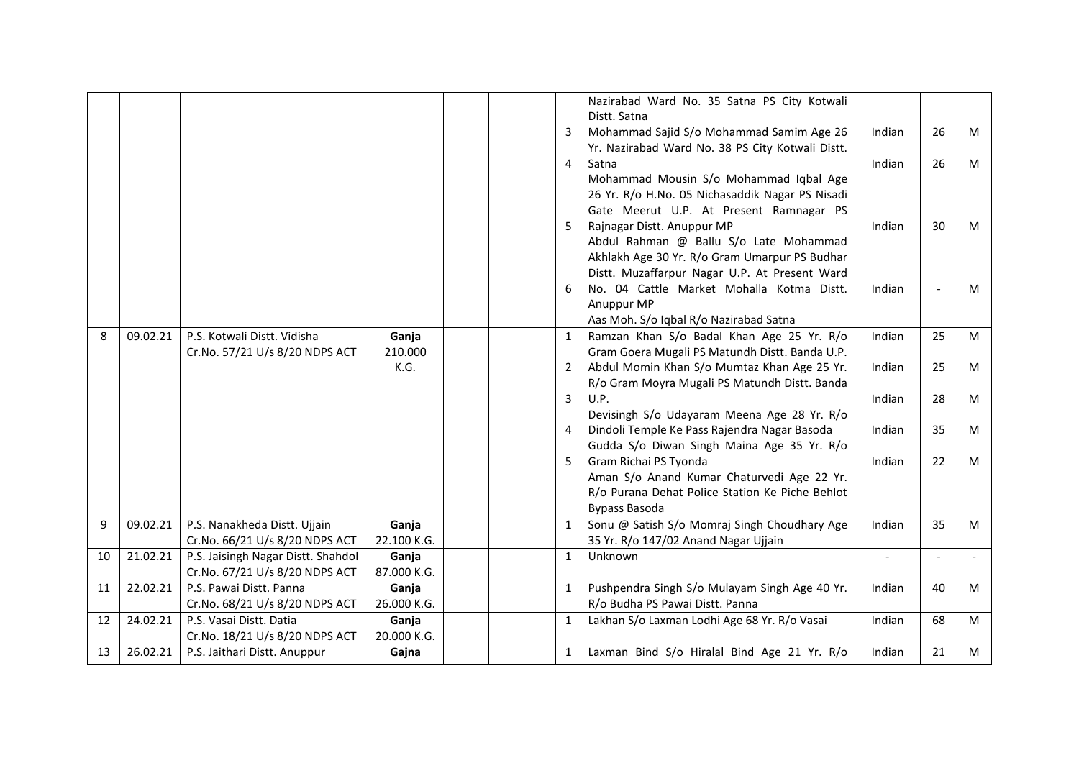|    |          |                                                           |                      | 3<br>$\overline{4}$<br>5<br>6 | Nazirabad Ward No. 35 Satna PS City Kotwali<br>Distt. Satna<br>Mohammad Sajid S/o Mohammad Samim Age 26<br>Yr. Nazirabad Ward No. 38 PS City Kotwali Distt.<br>Satna<br>Mohammad Mousin S/o Mohammad Iqbal Age<br>26 Yr. R/o H.No. 05 Nichasaddik Nagar PS Nisadi<br>Gate Meerut U.P. At Present Ramnagar PS<br>Rajnagar Distt. Anuppur MP<br>Abdul Rahman @ Ballu S/o Late Mohammad<br>Akhlakh Age 30 Yr. R/o Gram Umarpur PS Budhar<br>Distt. Muzaffarpur Nagar U.P. At Present Ward<br>No. 04 Cattle Market Mohalla Kotma Distt.<br>Anuppur MP | Indian<br>Indian<br>Indian<br>Indian | 26<br>26<br>30 | M<br>M<br>M<br>м |
|----|----------|-----------------------------------------------------------|----------------------|-------------------------------|---------------------------------------------------------------------------------------------------------------------------------------------------------------------------------------------------------------------------------------------------------------------------------------------------------------------------------------------------------------------------------------------------------------------------------------------------------------------------------------------------------------------------------------------------|--------------------------------------|----------------|------------------|
|    |          |                                                           |                      |                               | Aas Moh. S/o Iqbal R/o Nazirabad Satna                                                                                                                                                                                                                                                                                                                                                                                                                                                                                                            |                                      |                |                  |
| 8  | 09.02.21 | P.S. Kotwali Distt. Vidisha                               | Ganja                | 1                             | Ramzan Khan S/o Badal Khan Age 25 Yr. R/o                                                                                                                                                                                                                                                                                                                                                                                                                                                                                                         | Indian                               | 25             | M                |
|    |          | Cr.No. 57/21 U/s 8/20 NDPS ACT                            | 210.000              |                               | Gram Goera Mugali PS Matundh Distt. Banda U.P.                                                                                                                                                                                                                                                                                                                                                                                                                                                                                                    |                                      |                |                  |
|    |          |                                                           | K.G.                 |                               | 2 Abdul Momin Khan S/o Mumtaz Khan Age 25 Yr.                                                                                                                                                                                                                                                                                                                                                                                                                                                                                                     | Indian                               | 25             | M                |
|    |          |                                                           |                      | $\overline{3}$                | R/o Gram Moyra Mugali PS Matundh Distt. Banda<br>U.P.                                                                                                                                                                                                                                                                                                                                                                                                                                                                                             | Indian                               | 28             | M                |
|    |          |                                                           |                      |                               | Devisingh S/o Udayaram Meena Age 28 Yr. R/o                                                                                                                                                                                                                                                                                                                                                                                                                                                                                                       |                                      |                |                  |
|    |          |                                                           |                      | 4                             | Dindoli Temple Ke Pass Rajendra Nagar Basoda                                                                                                                                                                                                                                                                                                                                                                                                                                                                                                      | Indian                               | 35             | M                |
|    |          |                                                           |                      |                               | Gudda S/o Diwan Singh Maina Age 35 Yr. R/o                                                                                                                                                                                                                                                                                                                                                                                                                                                                                                        |                                      |                |                  |
|    |          |                                                           |                      | 5                             | Gram Richai PS Tyonda                                                                                                                                                                                                                                                                                                                                                                                                                                                                                                                             | Indian                               | 22             | M                |
|    |          |                                                           |                      |                               | Aman S/o Anand Kumar Chaturvedi Age 22 Yr.                                                                                                                                                                                                                                                                                                                                                                                                                                                                                                        |                                      |                |                  |
|    |          |                                                           |                      |                               | R/o Purana Dehat Police Station Ke Piche Behlot                                                                                                                                                                                                                                                                                                                                                                                                                                                                                                   |                                      |                |                  |
|    |          |                                                           |                      |                               | <b>Bypass Basoda</b>                                                                                                                                                                                                                                                                                                                                                                                                                                                                                                                              |                                      |                |                  |
| 9  | 09.02.21 | P.S. Nanakheda Distt. Ujjain                              | Ganja                | $\mathbf{1}$                  | Sonu @ Satish S/o Momraj Singh Choudhary Age                                                                                                                                                                                                                                                                                                                                                                                                                                                                                                      | Indian                               | 35             | м                |
|    |          | Cr.No. 66/21 U/s 8/20 NDPS ACT                            | 22.100 K.G.          |                               | 35 Yr. R/o 147/02 Anand Nagar Ujjain                                                                                                                                                                                                                                                                                                                                                                                                                                                                                                              |                                      |                |                  |
| 10 | 21.02.21 | P.S. Jaisingh Nagar Distt. Shahdol                        | Ganja                | $\mathbf{1}$                  | Unknown                                                                                                                                                                                                                                                                                                                                                                                                                                                                                                                                           | $\overline{a}$                       |                |                  |
|    | 22.02.21 | Cr.No. 67/21 U/s 8/20 NDPS ACT<br>P.S. Pawai Distt. Panna | 87.000 K.G.          |                               |                                                                                                                                                                                                                                                                                                                                                                                                                                                                                                                                                   | Indian                               | 40             |                  |
| 11 |          | Cr.No. 68/21 U/s 8/20 NDPS ACT                            | Ganja<br>26.000 K.G. | $\mathbf{1}$                  | Pushpendra Singh S/o Mulayam Singh Age 40 Yr.<br>R/o Budha PS Pawai Distt. Panna                                                                                                                                                                                                                                                                                                                                                                                                                                                                  |                                      |                | M                |
| 12 | 24.02.21 | P.S. Vasai Distt. Datia                                   | Ganja                | $\mathbf{1}$                  | Lakhan S/o Laxman Lodhi Age 68 Yr. R/o Vasai                                                                                                                                                                                                                                                                                                                                                                                                                                                                                                      | Indian                               | 68             | M                |
|    |          | Cr.No. 18/21 U/s 8/20 NDPS ACT                            | 20.000 K.G.          |                               |                                                                                                                                                                                                                                                                                                                                                                                                                                                                                                                                                   |                                      |                |                  |
| 13 | 26.02.21 | P.S. Jaithari Distt. Anuppur                              | Gajna                | $\mathbf{1}$                  | Laxman Bind S/o Hiralal Bind Age 21 Yr. R/o                                                                                                                                                                                                                                                                                                                                                                                                                                                                                                       | Indian                               | 21             | M                |
|    |          |                                                           |                      |                               |                                                                                                                                                                                                                                                                                                                                                                                                                                                                                                                                                   |                                      |                |                  |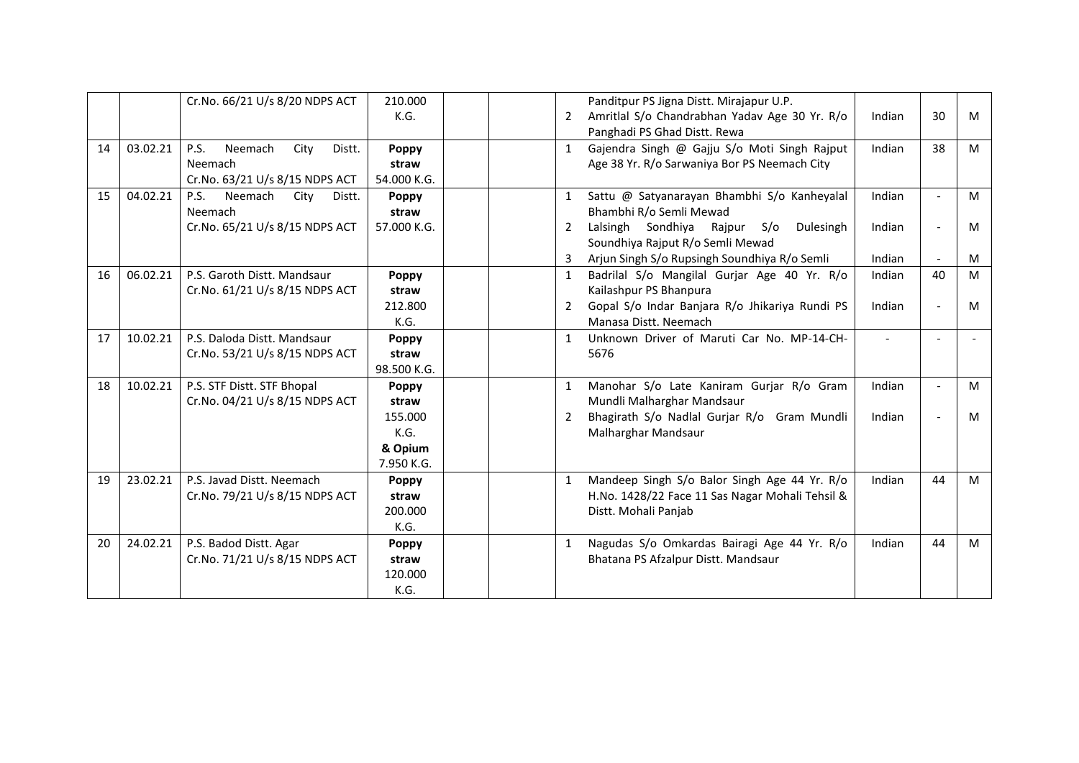|    |          | Cr.No. 66/21 U/s 8/20 NDPS ACT           | 210.000      |              | Panditpur PS Jigna Distt. Mirajapur U.P.        |        |                |   |
|----|----------|------------------------------------------|--------------|--------------|-------------------------------------------------|--------|----------------|---|
|    |          |                                          | K.G.         | $\mathbf{2}$ | Amritlal S/o Chandrabhan Yadav Age 30 Yr. R/o   | Indian | 30             | M |
|    |          |                                          |              |              | Panghadi PS Ghad Distt. Rewa                    |        |                |   |
| 14 | 03.02.21 | <b>P.S.</b><br>Neemach<br>City<br>Distt. | <b>Poppy</b> | $\mathbf{1}$ | Gajendra Singh @ Gajju S/o Moti Singh Rajput    | Indian | 38             | M |
|    |          | Neemach                                  | straw        |              | Age 38 Yr. R/o Sarwaniya Bor PS Neemach City    |        |                |   |
|    |          | Cr.No. 63/21 U/s 8/15 NDPS ACT           | 54.000 K.G.  |              |                                                 |        |                |   |
| 15 | 04.02.21 | <b>P.S.</b><br>Neemach<br>City<br>Distt. | Poppy        | 1            | Sattu @ Satyanarayan Bhambhi S/o Kanheyalal     | Indian | $\blacksquare$ | M |
|    |          | Neemach                                  | straw        |              | Bhambhi R/o Semli Mewad                         |        |                |   |
|    |          | Cr.No. 65/21 U/s 8/15 NDPS ACT           | 57.000 K.G.  | 2            | Lalsingh Sondhiya Rajpur S/o<br>Dulesingh       | Indian | $\blacksquare$ | M |
|    |          |                                          |              |              | Soundhiya Rajput R/o Semli Mewad                |        |                |   |
|    |          |                                          |              |              | Arjun Singh S/o Rupsingh Soundhiya R/o Semli    | Indian | $\Delta$       | M |
| 16 | 06.02.21 | P.S. Garoth Distt. Mandsaur              | <b>Poppy</b> |              | Badrilal S/o Mangilal Gurjar Age 40 Yr. R/o     | Indian | 40             | M |
|    |          | Cr.No. 61/21 U/s 8/15 NDPS ACT           | straw        |              | Kailashpur PS Bhanpura                          |        |                |   |
|    |          |                                          | 212.800      | 2            | Gopal S/o Indar Banjara R/o Jhikariya Rundi PS  | Indian | $\blacksquare$ | M |
|    |          |                                          | K.G.         |              | Manasa Distt, Neemach                           |        |                |   |
| 17 | 10.02.21 | P.S. Daloda Distt. Mandsaur              | <b>Poppy</b> | $\mathbf{1}$ | Unknown Driver of Maruti Car No. MP-14-CH-      | $\sim$ |                |   |
|    |          | Cr.No. 53/21 U/s 8/15 NDPS ACT           | straw        |              | 5676                                            |        |                |   |
|    |          |                                          | 98.500 K.G.  |              |                                                 |        |                |   |
| 18 | 10.02.21 | P.S. STF Distt. STF Bhopal               | Poppy        | 1            | Manohar S/o Late Kaniram Gurjar R/o Gram        | Indian | $\overline{a}$ | M |
|    |          | Cr.No. 04/21 U/s 8/15 NDPS ACT           | straw        |              | Mundli Malharghar Mandsaur                      |        |                |   |
|    |          |                                          | 155.000      | 2            | Bhagirath S/o Nadlal Gurjar R/o Gram Mundli     | Indian | $\overline{a}$ | M |
|    |          |                                          | K.G.         |              | Malharghar Mandsaur                             |        |                |   |
|    |          |                                          | & Opium      |              |                                                 |        |                |   |
|    |          |                                          | 7.950 K.G.   |              |                                                 |        |                |   |
| 19 | 23.02.21 | P.S. Javad Distt. Neemach                | Poppy        | $\mathbf{1}$ | Mandeep Singh S/o Balor Singh Age 44 Yr. R/o    | Indian | 44             | M |
|    |          | Cr.No. 79/21 U/s 8/15 NDPS ACT           | straw        |              | H.No. 1428/22 Face 11 Sas Nagar Mohali Tehsil & |        |                |   |
|    |          |                                          | 200.000      |              | Distt. Mohali Panjab                            |        |                |   |
|    |          |                                          | K.G.         |              |                                                 |        |                |   |
| 20 | 24.02.21 | P.S. Badod Distt. Agar                   | <b>Poppy</b> | $\mathbf{1}$ | Nagudas S/o Omkardas Bairagi Age 44 Yr. R/o     | Indian | 44             | M |
|    |          | Cr.No. 71/21 U/s 8/15 NDPS ACT           | straw        |              | Bhatana PS Afzalpur Distt. Mandsaur             |        |                |   |
|    |          |                                          | 120.000      |              |                                                 |        |                |   |
|    |          |                                          | K.G.         |              |                                                 |        |                |   |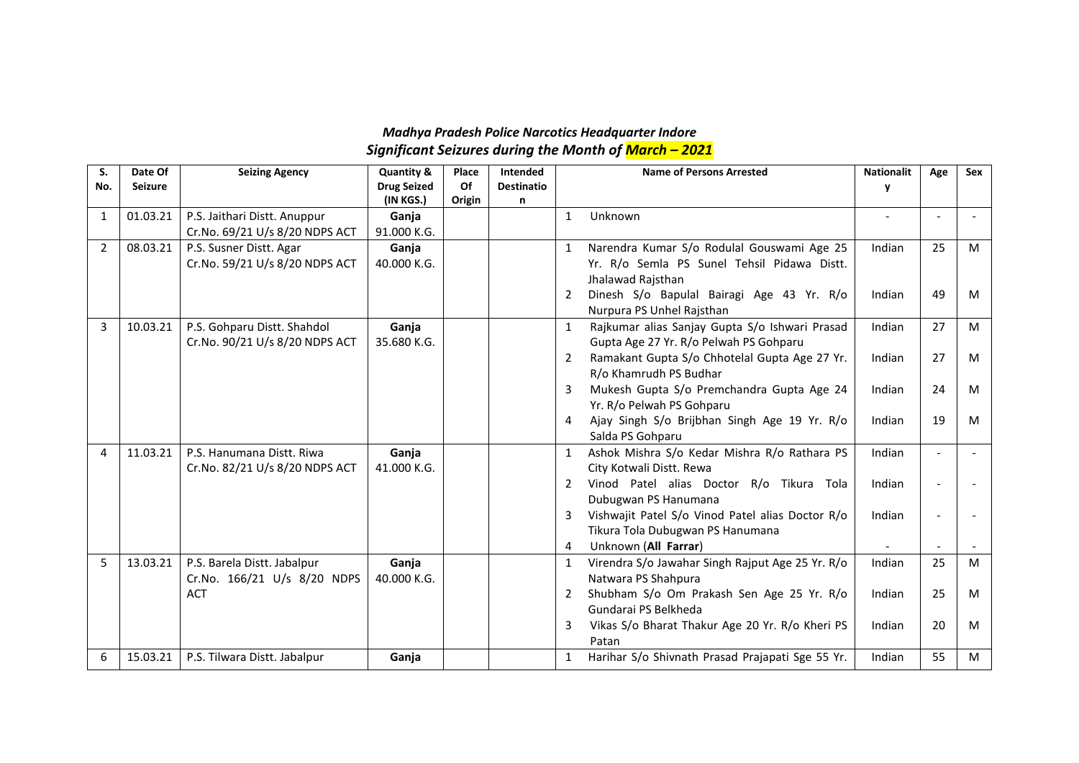## *Madhya Pradesh Police Narcotics Headquarter Indore Significant Seizures during the Month of March – 2021*

| S.  | Date Of        | <b>Seizing Agency</b>          | Quantity &         | Place  | <b>Intended</b>   |              | <b>Name of Persons Arrested</b>                  | <b>Nationalit</b> | Age                      | <b>Sex</b> |
|-----|----------------|--------------------------------|--------------------|--------|-------------------|--------------|--------------------------------------------------|-------------------|--------------------------|------------|
| No. | <b>Seizure</b> |                                | <b>Drug Seized</b> | Of     | <b>Destinatio</b> |              |                                                  | y                 |                          |            |
|     |                |                                | (IN KGS.)          | Origin | n                 |              |                                                  |                   |                          |            |
| 1   | 01.03.21       | P.S. Jaithari Distt. Anuppur   | Ganja              |        |                   | 1            | Unknown                                          |                   |                          |            |
|     |                | Cr.No. 69/21 U/s 8/20 NDPS ACT | 91.000 K.G.        |        |                   |              |                                                  |                   |                          |            |
| 2   | 08.03.21       | P.S. Susner Distt. Agar        | Ganja              |        |                   | 1            | Narendra Kumar S/o Rodulal Gouswami Age 25       | Indian            | 25                       | M          |
|     |                | Cr.No. 59/21 U/s 8/20 NDPS ACT | 40.000 K.G.        |        |                   |              | Yr. R/o Semla PS Sunel Tehsil Pidawa Distt.      |                   |                          |            |
|     |                |                                |                    |        |                   |              | Jhalawad Rajsthan                                |                   |                          |            |
|     |                |                                |                    |        |                   | 2            | Dinesh S/o Bapulal Bairagi Age 43 Yr. R/o        | Indian            | 49                       | M          |
|     |                |                                |                    |        |                   |              | Nurpura PS Unhel Rajsthan                        |                   |                          |            |
| 3   | 10.03.21       | P.S. Gohparu Distt. Shahdol    | Ganja              |        |                   | 1            | Rajkumar alias Sanjay Gupta S/o Ishwari Prasad   | Indian            | 27                       | M          |
|     |                | Cr.No. 90/21 U/s 8/20 NDPS ACT | 35.680 K.G.        |        |                   |              | Gupta Age 27 Yr. R/o Pelwah PS Gohparu           |                   |                          |            |
|     |                |                                |                    |        |                   | 2            | Ramakant Gupta S/o Chhotelal Gupta Age 27 Yr.    | Indian            | 27                       | M          |
|     |                |                                |                    |        |                   |              | R/o Khamrudh PS Budhar                           |                   |                          |            |
|     |                |                                |                    |        |                   | 3            | Mukesh Gupta S/o Premchandra Gupta Age 24        | Indian            | 24                       | M          |
|     |                |                                |                    |        |                   |              | Yr. R/o Pelwah PS Gohparu                        |                   |                          |            |
|     |                |                                |                    |        |                   | 4            | Ajay Singh S/o Brijbhan Singh Age 19 Yr. R/o     | Indian            | 19                       | M          |
|     |                |                                |                    |        |                   |              | Salda PS Gohparu                                 |                   |                          |            |
| 4   | 11.03.21       | P.S. Hanumana Distt. Riwa      | Ganja              |        |                   | $\mathbf{1}$ | Ashok Mishra S/o Kedar Mishra R/o Rathara PS     | Indian            | $\overline{\phantom{a}}$ |            |
|     |                | Cr.No. 82/21 U/s 8/20 NDPS ACT | 41.000 K.G.        |        |                   |              | City Kotwali Distt. Rewa                         |                   |                          |            |
|     |                |                                |                    |        |                   | 2            | Vinod Patel alias Doctor R/o Tikura Tola         | Indian            | $\overline{a}$           |            |
|     |                |                                |                    |        |                   |              | Dubugwan PS Hanumana                             |                   |                          |            |
|     |                |                                |                    |        |                   | 3            | Vishwajit Patel S/o Vinod Patel alias Doctor R/o | Indian            |                          |            |
|     |                |                                |                    |        |                   |              | Tikura Tola Dubugwan PS Hanumana                 |                   |                          |            |
|     |                |                                |                    |        |                   | 4            | Unknown (All Farrar)                             |                   |                          |            |
| 5   | 13.03.21       | P.S. Barela Distt. Jabalpur    | Ganja              |        |                   | 1            | Virendra S/o Jawahar Singh Rajput Age 25 Yr. R/o | Indian            | 25                       | M          |
|     |                | Cr.No. 166/21 U/s 8/20 NDPS    | 40.000 K.G.        |        |                   |              | Natwara PS Shahpura                              |                   |                          |            |
|     |                | <b>ACT</b>                     |                    |        |                   | 2            | Shubham S/o Om Prakash Sen Age 25 Yr. R/o        | Indian            | 25                       | M          |
|     |                |                                |                    |        |                   |              | Gundarai PS Belkheda                             |                   |                          |            |
|     |                |                                |                    |        |                   | 3            | Vikas S/o Bharat Thakur Age 20 Yr. R/o Kheri PS  | Indian            | 20                       | M          |
|     |                |                                |                    |        |                   |              | Patan                                            |                   |                          |            |
| 6   | 15.03.21       | P.S. Tilwara Distt. Jabalpur   | Ganja              |        |                   | 1            | Harihar S/o Shivnath Prasad Prajapati Sge 55 Yr. | Indian            | 55                       | M          |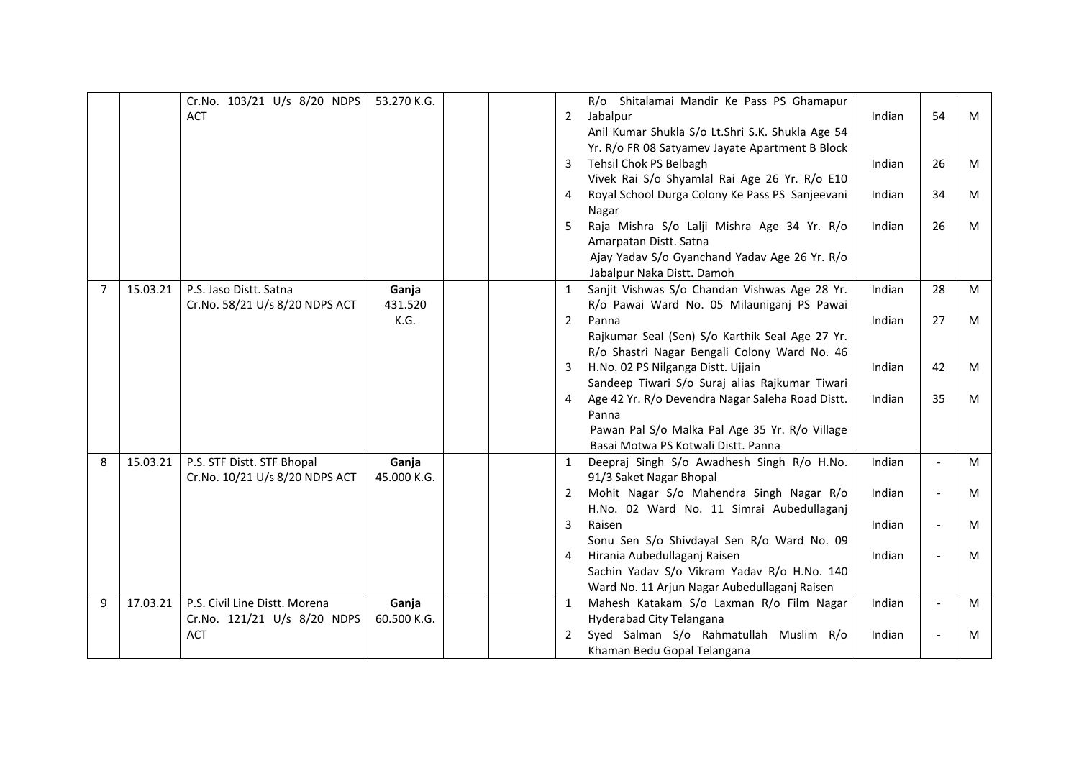|   |          | Cr.No. 103/21 U/s 8/20 NDPS    | 53.270 K.G. |                | R/o Shitalamai Mandir Ke Pass PS Ghamapur        |        |                          |   |
|---|----------|--------------------------------|-------------|----------------|--------------------------------------------------|--------|--------------------------|---|
|   |          | <b>ACT</b>                     |             | $2^{\circ}$    | Jabalpur                                         | Indian | 54                       | M |
|   |          |                                |             |                | Anil Kumar Shukla S/o Lt.Shri S.K. Shukla Age 54 |        |                          |   |
|   |          |                                |             |                | Yr. R/o FR 08 Satyamev Jayate Apartment B Block  |        |                          |   |
|   |          |                                |             | 3              | Tehsil Chok PS Belbagh                           | Indian | 26                       | M |
|   |          |                                |             |                | Vivek Rai S/o Shyamlal Rai Age 26 Yr. R/o E10    |        |                          |   |
|   |          |                                |             | $\overline{4}$ | Royal School Durga Colony Ke Pass PS Sanjeevani  | Indian | 34                       | M |
|   |          |                                |             |                | Nagar                                            |        |                          |   |
|   |          |                                |             | 5              | Raja Mishra S/o Lalji Mishra Age 34 Yr. R/o      | Indian | 26                       | M |
|   |          |                                |             |                | Amarpatan Distt. Satna                           |        |                          |   |
|   |          |                                |             |                | Ajay Yadav S/o Gyanchand Yadav Age 26 Yr. R/o    |        |                          |   |
|   |          |                                |             |                | Jabalpur Naka Distt. Damoh                       |        |                          |   |
| 7 | 15.03.21 | P.S. Jaso Distt. Satna         | Ganja       | $\mathbf{1}$   | Sanjit Vishwas S/o Chandan Vishwas Age 28 Yr.    | Indian | 28                       | M |
|   |          | Cr.No. 58/21 U/s 8/20 NDPS ACT | 431.520     |                | R/o Pawai Ward No. 05 Milauniganj PS Pawai       |        |                          |   |
|   |          |                                | K.G.        | $\overline{2}$ | Panna                                            | Indian | 27                       | M |
|   |          |                                |             |                | Rajkumar Seal (Sen) S/o Karthik Seal Age 27 Yr.  |        |                          |   |
|   |          |                                |             |                | R/o Shastri Nagar Bengali Colony Ward No. 46     |        |                          |   |
|   |          |                                |             | 3 <sup>7</sup> | H.No. 02 PS Nilganga Distt. Ujjain               | Indian | 42                       | M |
|   |          |                                |             |                | Sandeep Tiwari S/o Suraj alias Rajkumar Tiwari   |        |                          |   |
|   |          |                                |             | $\overline{4}$ | Age 42 Yr. R/o Devendra Nagar Saleha Road Distt. | Indian | 35                       | M |
|   |          |                                |             |                | Panna                                            |        |                          |   |
|   |          |                                |             |                | Pawan Pal S/o Malka Pal Age 35 Yr. R/o Village   |        |                          |   |
|   |          |                                |             |                | Basai Motwa PS Kotwali Distt. Panna              |        |                          |   |
| 8 | 15.03.21 | P.S. STF Distt. STF Bhopal     | Ganja       | 1              | Deepraj Singh S/o Awadhesh Singh R/o H.No.       | Indian |                          | M |
|   |          | Cr.No. 10/21 U/s 8/20 NDPS ACT | 45.000 K.G. |                | 91/3 Saket Nagar Bhopal                          |        |                          |   |
|   |          |                                |             | 2              | Mohit Nagar S/o Mahendra Singh Nagar R/o         | Indian | $\blacksquare$           | M |
|   |          |                                |             |                | H.No. 02 Ward No. 11 Simrai Aubedullaganj        |        |                          |   |
|   |          |                                |             | 3              | Raisen                                           | Indian | $\blacksquare$           | M |
|   |          |                                |             |                | Sonu Sen S/o Shivdayal Sen R/o Ward No. 09       |        |                          |   |
|   |          |                                |             | 4              | Hirania Aubedullaganj Raisen                     | Indian | $\overline{\phantom{a}}$ | M |
|   |          |                                |             |                | Sachin Yadav S/o Vikram Yadav R/o H.No. 140      |        |                          |   |
|   |          |                                |             |                | Ward No. 11 Arjun Nagar Aubedullaganj Raisen     |        |                          |   |
| 9 | 17.03.21 | P.S. Civil Line Distt. Morena  | Ganja       | $\mathbf{1}$   | Mahesh Katakam S/o Laxman R/o Film Nagar         | Indian | $\overline{\phantom{a}}$ | M |
|   |          | Cr.No. 121/21 U/s 8/20 NDPS    | 60.500 K.G. |                | Hyderabad City Telangana                         |        |                          |   |
|   |          | <b>ACT</b>                     |             | $2^{\circ}$    | Syed Salman S/o Rahmatullah Muslim R/o           | Indian |                          | М |
|   |          |                                |             |                | Khaman Bedu Gopal Telangana                      |        |                          |   |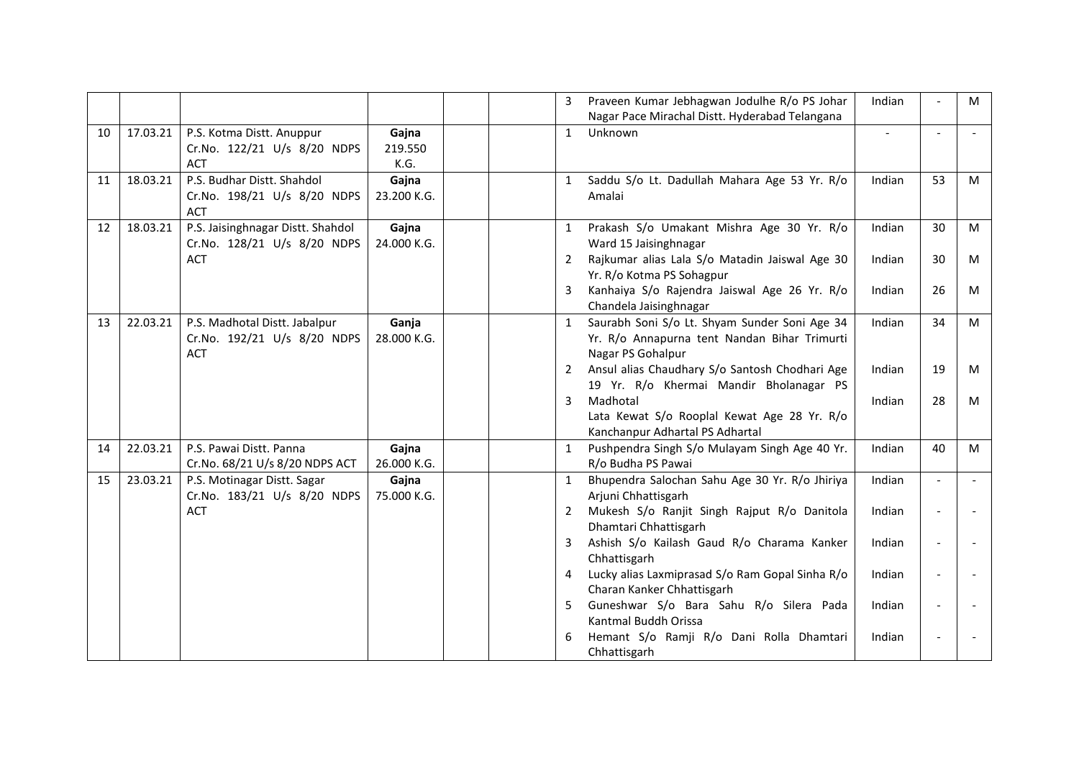|    |          |                                                                            |                          | 3            | Indian<br>Praveen Kumar Jebhagwan Jodulhe R/o PS Johar<br>Nagar Pace Mirachal Distt. Hyderabad Telangana                     |                          | M |
|----|----------|----------------------------------------------------------------------------|--------------------------|--------------|------------------------------------------------------------------------------------------------------------------------------|--------------------------|---|
| 10 | 17.03.21 | P.S. Kotma Distt. Anuppur<br>Cr.No. 122/21 U/s 8/20 NDPS<br><b>ACT</b>     | Gajna<br>219.550<br>K.G. | $\mathbf{1}$ | Unknown<br>$\blacksquare$                                                                                                    | $\overline{a}$           |   |
| 11 | 18.03.21 | P.S. Budhar Distt. Shahdol<br>Cr.No. 198/21 U/s 8/20 NDPS<br><b>ACT</b>    | Gajna<br>23.200 K.G.     | 1            | Saddu S/o Lt. Dadullah Mahara Age 53 Yr. R/o<br>Indian<br>Amalai                                                             | 53                       | M |
| 12 | 18.03.21 | P.S. Jaisinghnagar Distt. Shahdol<br>Cr.No. 128/21 U/s 8/20 NDPS           | Gajna<br>24.000 K.G.     | $\mathbf{1}$ | Prakash S/o Umakant Mishra Age 30 Yr. R/o<br>Indian<br>Ward 15 Jaisinghnagar                                                 | 30                       | M |
|    |          | <b>ACT</b>                                                                 |                          | 2            | Rajkumar alias Lala S/o Matadin Jaiswal Age 30<br>Indian<br>Yr. R/o Kotma PS Sohagpur                                        | 30                       | M |
|    |          |                                                                            |                          | 3            | Kanhaiya S/o Rajendra Jaiswal Age 26 Yr. R/o<br>Indian<br>Chandela Jaisinghnagar                                             | 26                       | M |
| 13 | 22.03.21 | P.S. Madhotal Distt. Jabalpur<br>Cr.No. 192/21 U/s 8/20 NDPS<br><b>ACT</b> | Ganja<br>28.000 K.G.     | $\mathbf{1}$ | Saurabh Soni S/o Lt. Shyam Sunder Soni Age 34<br>Indian<br>Yr. R/o Annapurna tent Nandan Bihar Trimurti<br>Nagar PS Gohalpur | 34                       | M |
|    |          |                                                                            |                          | 2            | Ansul alias Chaudhary S/o Santosh Chodhari Age<br>Indian<br>19 Yr. R/o Khermai Mandir Bholanagar PS                          | 19                       | M |
|    |          |                                                                            |                          | 3            | Madhotal<br>Indian<br>Lata Kewat S/o Rooplal Kewat Age 28 Yr. R/o<br>Kanchanpur Adhartal PS Adhartal                         | 28                       | M |
| 14 | 22.03.21 | P.S. Pawai Distt. Panna<br>Cr.No. 68/21 U/s 8/20 NDPS ACT                  | Gajna<br>26.000 K.G.     | $\mathbf{1}$ | Indian<br>Pushpendra Singh S/o Mulayam Singh Age 40 Yr.<br>R/o Budha PS Pawai                                                | 40                       | M |
| 15 | 23.03.21 | P.S. Motinagar Distt. Sagar<br>Cr.No. 183/21 U/s 8/20 NDPS                 | Gajna<br>75.000 K.G.     | $\mathbf{1}$ | Indian<br>Bhupendra Salochan Sahu Age 30 Yr. R/o Jhiriya<br>Arjuni Chhattisgarh                                              | $\blacksquare$           |   |
|    |          | <b>ACT</b>                                                                 |                          | 2            | Mukesh S/o Ranjit Singh Rajput R/o Danitola<br>Indian<br>Dhamtari Chhattisgarh                                               | $\overline{\phantom{a}}$ |   |
|    |          |                                                                            |                          | 3            | Ashish S/o Kailash Gaud R/o Charama Kanker<br>Indian<br>Chhattisgarh                                                         | $\overline{\phantom{0}}$ |   |
|    |          |                                                                            |                          | 4            | Lucky alias Laxmiprasad S/o Ram Gopal Sinha R/o<br>Indian<br>Charan Kanker Chhattisgarh                                      | $\overline{\phantom{a}}$ |   |
|    |          |                                                                            |                          | 5            | Guneshwar S/o Bara Sahu R/o Silera Pada<br>Indian<br>Kantmal Buddh Orissa                                                    | $\overline{\phantom{a}}$ |   |
|    |          |                                                                            |                          | 6            | Hemant S/o Ramji R/o Dani Rolla Dhamtari<br>Indian<br>Chhattisgarh                                                           | $\overline{\phantom{a}}$ |   |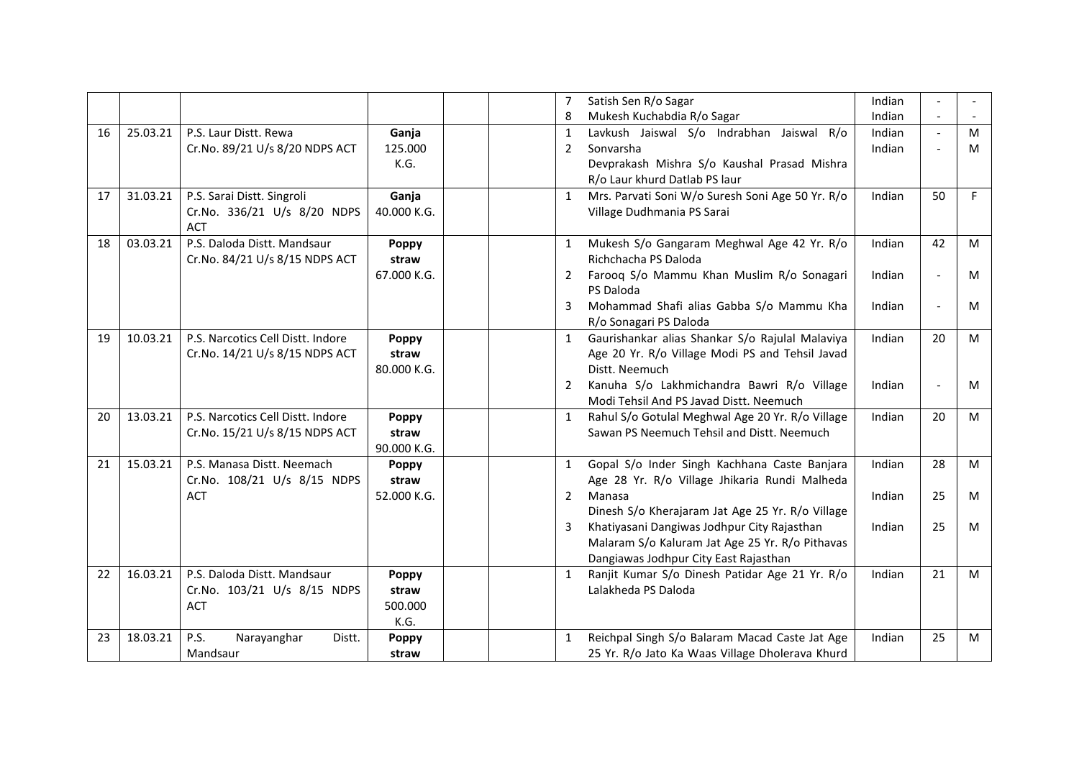|    |          |                                   |              | $\overline{7}$ | Satish Sen R/o Sagar                             | Indian |                          |    |
|----|----------|-----------------------------------|--------------|----------------|--------------------------------------------------|--------|--------------------------|----|
|    |          |                                   |              | 8              | Mukesh Kuchabdia R/o Sagar                       | Indian |                          |    |
| 16 | 25.03.21 | P.S. Laur Distt. Rewa             | Ganja        | $\mathbf{1}$   | Lavkush Jaiswal S/o Indrabhan Jaiswal R/o        | Indian | $\blacksquare$           | M  |
|    |          | Cr.No. 89/21 U/s 8/20 NDPS ACT    | 125.000      | 2              | Sonvarsha                                        | Indian | $\overline{\phantom{a}}$ | м  |
|    |          |                                   | K.G.         |                | Devprakash Mishra S/o Kaushal Prasad Mishra      |        |                          |    |
|    |          |                                   |              |                | R/o Laur khurd Datlab PS laur                    |        |                          |    |
| 17 | 31.03.21 | P.S. Sarai Distt. Singroli        | Ganja        | $\mathbf{1}$   | Mrs. Parvati Soni W/o Suresh Soni Age 50 Yr. R/o | Indian | 50                       | F. |
|    |          | Cr.No. 336/21 U/s 8/20 NDPS       | 40.000 K.G.  |                | Village Dudhmania PS Sarai                       |        |                          |    |
|    |          | ACT                               |              |                |                                                  |        |                          |    |
| 18 | 03.03.21 | P.S. Daloda Distt. Mandsaur       | Poppy        |                | Mukesh S/o Gangaram Meghwal Age 42 Yr. R/o       | Indian | 42                       | M  |
|    |          | Cr.No. 84/21 U/s 8/15 NDPS ACT    | straw        |                | Richchacha PS Daloda                             |        |                          |    |
|    |          |                                   | 67.000 K.G.  | 2              | Farooq S/o Mammu Khan Muslim R/o Sonagari        | Indian |                          | M  |
|    |          |                                   |              |                | PS Daloda                                        |        |                          |    |
|    |          |                                   |              | 3              | Mohammad Shafi alias Gabba S/o Mammu Kha         | Indian | $\blacksquare$           | M  |
|    |          |                                   |              |                | R/o Sonagari PS Daloda                           |        |                          |    |
| 19 | 10.03.21 | P.S. Narcotics Cell Distt. Indore | Poppy        | $\mathbf{1}$   | Gaurishankar alias Shankar S/o Rajulal Malaviya  | Indian | 20                       | M  |
|    |          | Cr.No. 14/21 U/s 8/15 NDPS ACT    | straw        |                | Age 20 Yr. R/o Village Modi PS and Tehsil Javad  |        |                          |    |
|    |          |                                   | 80.000 K.G.  |                | Distt. Neemuch                                   |        |                          |    |
|    |          |                                   |              | 2              | Kanuha S/o Lakhmichandra Bawri R/o Village       | Indian | $\blacksquare$           | M  |
|    |          |                                   |              |                | Modi Tehsil And PS Javad Distt. Neemuch          |        |                          |    |
| 20 | 13.03.21 | P.S. Narcotics Cell Distt. Indore | Poppy        | 1              | Rahul S/o Gotulal Meghwal Age 20 Yr. R/o Village | Indian | 20                       | M  |
|    |          | Cr.No. 15/21 U/s 8/15 NDPS ACT    | straw        |                | Sawan PS Neemuch Tehsil and Distt. Neemuch       |        |                          |    |
|    |          |                                   | 90.000 K.G.  |                |                                                  |        |                          |    |
| 21 | 15.03.21 | P.S. Manasa Distt. Neemach        | <b>Poppy</b> | 1              | Gopal S/o Inder Singh Kachhana Caste Banjara     | Indian | 28                       | M  |
|    |          | Cr.No. 108/21 U/s 8/15 NDPS       | straw        |                | Age 28 Yr. R/o Village Jhikaria Rundi Malheda    |        |                          |    |
|    |          | <b>ACT</b>                        | 52.000 K.G.  | 2              | Manasa                                           | Indian | 25                       | M  |
|    |          |                                   |              |                | Dinesh S/o Kherajaram Jat Age 25 Yr. R/o Village |        |                          |    |
|    |          |                                   |              | 3              | Khatiyasani Dangiwas Jodhpur City Rajasthan      | Indian | 25                       | M  |
|    |          |                                   |              |                | Malaram S/o Kaluram Jat Age 25 Yr. R/o Pithavas  |        |                          |    |
|    |          |                                   |              |                | Dangiawas Jodhpur City East Rajasthan            |        |                          |    |
| 22 | 16.03.21 | P.S. Daloda Distt. Mandsaur       | Poppy        | $\mathbf{1}$   | Ranjit Kumar S/o Dinesh Patidar Age 21 Yr. R/o   | Indian | 21                       | M  |
|    |          | Cr.No. 103/21 U/s 8/15 NDPS       | straw        |                | Lalakheda PS Daloda                              |        |                          |    |
|    |          | <b>ACT</b>                        | 500.000      |                |                                                  |        |                          |    |
|    |          |                                   | K.G.         |                |                                                  |        |                          |    |
| 23 | 18.03.21 | P.S.<br>Narayanghar<br>Distt.     | <b>Poppy</b> | 1              | Reichpal Singh S/o Balaram Macad Caste Jat Age   | Indian | 25                       | M  |
|    |          | Mandsaur                          | straw        |                | 25 Yr. R/o Jato Ka Waas Village Dholerava Khurd  |        |                          |    |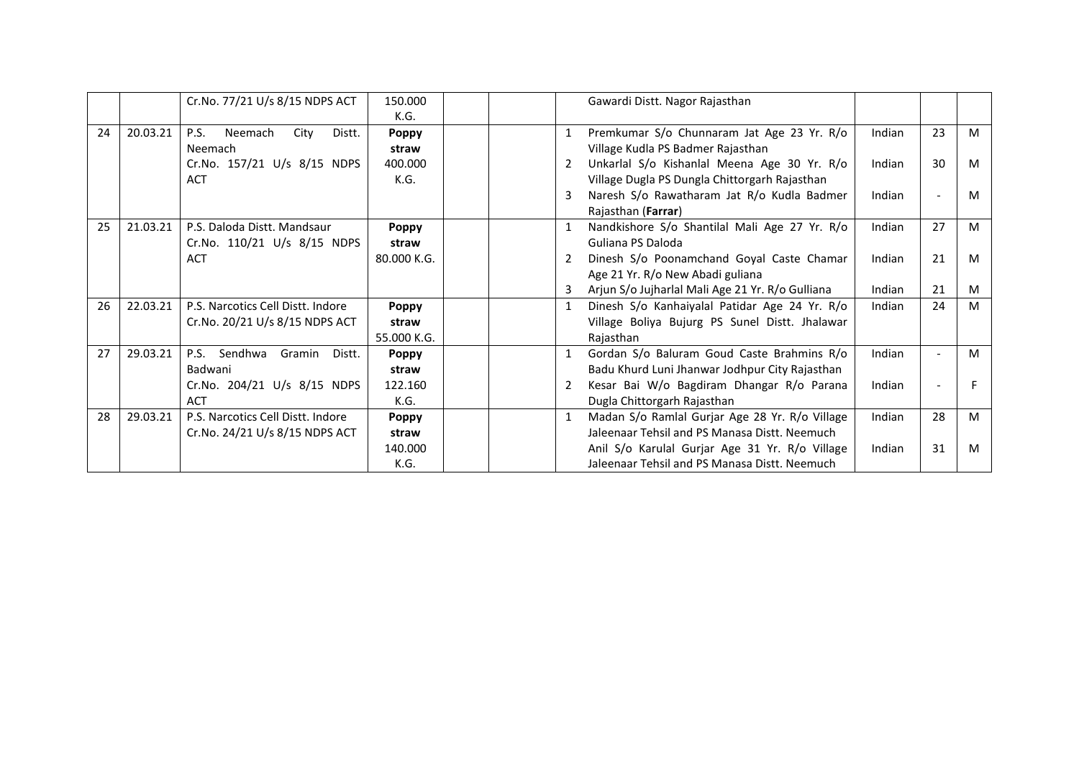|    |          | Cr.No. 77/21 U/s 8/15 NDPS ACT           | 150.000      |  | Gawardi Distt. Nagor Rajasthan                   |        |                          |   |
|----|----------|------------------------------------------|--------------|--|--------------------------------------------------|--------|--------------------------|---|
|    |          |                                          | K.G.         |  |                                                  |        |                          |   |
| 24 | 20.03.21 | <b>P.S.</b><br>Neemach<br>City<br>Distt. | <b>Poppy</b> |  | Premkumar S/o Chunnaram Jat Age 23 Yr. R/o       | Indian | 23                       | M |
|    |          | Neemach                                  | straw        |  | Village Kudla PS Badmer Rajasthan                |        |                          |   |
|    |          | Cr.No. 157/21 U/s 8/15 NDPS              | 400.000      |  | Unkarlal S/o Kishanlal Meena Age 30 Yr. R/o      | Indian | 30                       | M |
|    |          | <b>ACT</b>                               | K.G.         |  | Village Dugla PS Dungla Chittorgarh Rajasthan    |        |                          |   |
|    |          |                                          |              |  | Naresh S/o Rawatharam Jat R/o Kudla Badmer       | Indian | $\overline{\phantom{a}}$ | M |
|    |          |                                          |              |  | Rajasthan (Farrar)                               |        |                          |   |
| 25 | 21.03.21 | P.S. Daloda Distt. Mandsaur              | <b>Poppy</b> |  | Nandkishore S/o Shantilal Mali Age 27 Yr. R/o    | Indian | 27                       | M |
|    |          | Cr.No. 110/21 U/s 8/15 NDPS              | straw        |  | Guliana PS Daloda                                |        |                          |   |
|    |          | <b>ACT</b>                               | 80.000 K.G.  |  | Dinesh S/o Poonamchand Goyal Caste Chamar        | Indian | 21                       | M |
|    |          |                                          |              |  | Age 21 Yr. R/o New Abadi guliana                 |        |                          |   |
|    |          |                                          |              |  | Arjun S/o Jujharlal Mali Age 21 Yr. R/o Gulliana | Indian | 21                       | M |
| 26 | 22.03.21 | P.S. Narcotics Cell Distt. Indore        | Poppy        |  | Dinesh S/o Kanhaiyalal Patidar Age 24 Yr. R/o    | Indian | 24                       | M |
|    |          | Cr.No. 20/21 U/s 8/15 NDPS ACT           | straw        |  | Village Boliya Bujurg PS Sunel Distt. Jhalawar   |        |                          |   |
|    |          |                                          | 55.000 K.G.  |  | Rajasthan                                        |        |                          |   |
| 27 | 29.03.21 | P.S. Sendhwa<br>Gramin<br>Distt.         | Poppy        |  | Gordan S/o Baluram Goud Caste Brahmins R/o       | Indian | $\overline{\phantom{a}}$ | M |
|    |          | Badwani                                  | straw        |  | Badu Khurd Luni Jhanwar Jodhpur City Rajasthan   |        |                          |   |
|    |          | Cr.No. 204/21 U/s 8/15 NDPS              | 122.160      |  | Kesar Bai W/o Bagdiram Dhangar R/o Parana        | Indian |                          |   |
|    |          | <b>ACT</b>                               | K.G.         |  | Dugla Chittorgarh Rajasthan                      |        |                          |   |
| 28 | 29.03.21 | P.S. Narcotics Cell Distt. Indore        | <b>Poppy</b> |  | Madan S/o Ramlal Gurjar Age 28 Yr. R/o Village   | Indian | 28                       | M |
|    |          | Cr.No. 24/21 U/s 8/15 NDPS ACT           | straw        |  | Jaleenaar Tehsil and PS Manasa Distt. Neemuch    |        |                          |   |
|    |          |                                          | 140.000      |  | Anil S/o Karulal Gurjar Age 31 Yr. R/o Village   | Indian | 31                       | M |
|    |          |                                          | K.G.         |  | Jaleenaar Tehsil and PS Manasa Distt. Neemuch    |        |                          |   |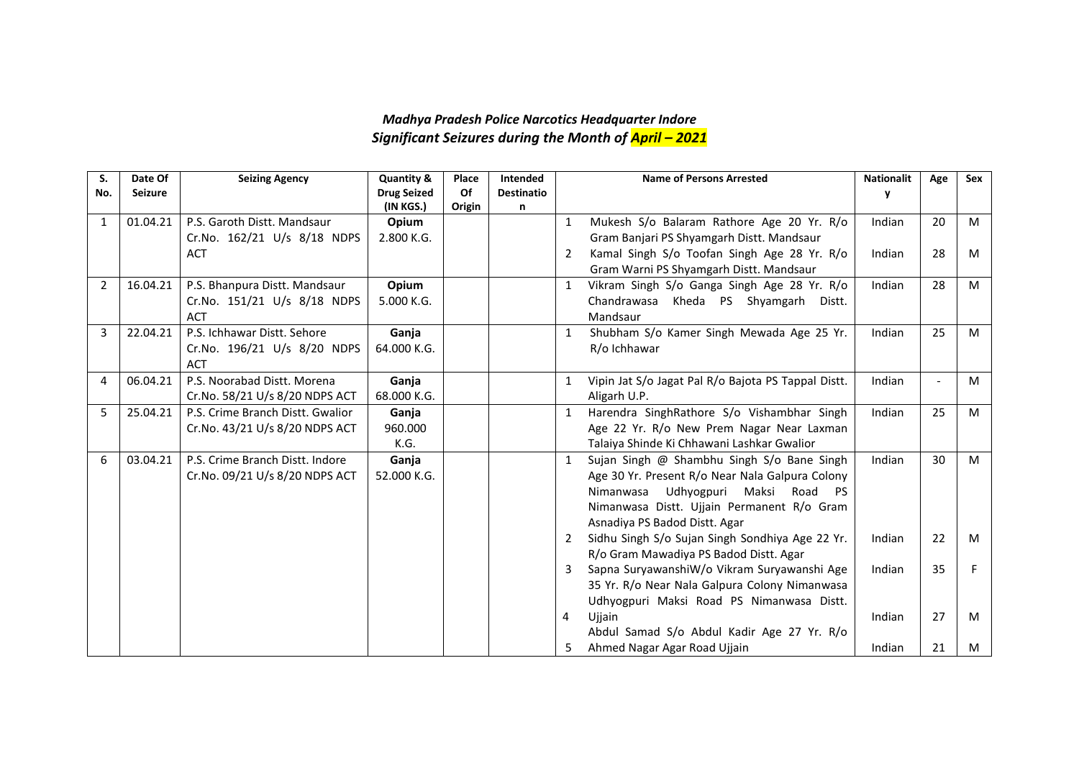## *Madhya Pradesh Police Narcotics Headquarter Indore Significant Seizures during the Month of April – 2021*

| S.  | Date Of        | <b>Seizing Agency</b>            | <b>Quantity &amp;</b> | Place  | Intended          |              | <b>Name of Persons Arrested</b>                     | <b>Nationalit</b> | Age                      | Sex |
|-----|----------------|----------------------------------|-----------------------|--------|-------------------|--------------|-----------------------------------------------------|-------------------|--------------------------|-----|
| No. | <b>Seizure</b> |                                  | <b>Drug Seized</b>    | Of     | <b>Destinatio</b> |              |                                                     | y                 |                          |     |
|     |                |                                  | (IN KGS.)             | Origin | n                 |              |                                                     |                   |                          |     |
| 1   | 01.04.21       | P.S. Garoth Distt. Mandsaur      | Opium                 |        |                   | 1            | Mukesh S/o Balaram Rathore Age 20 Yr. R/o           | Indian            | 20                       | M   |
|     |                | Cr.No. 162/21 U/s 8/18 NDPS      | 2.800 K.G.            |        |                   |              | Gram Banjari PS Shyamgarh Distt. Mandsaur           |                   |                          |     |
|     |                | <b>ACT</b>                       |                       |        |                   | 2            | Kamal Singh S/o Toofan Singh Age 28 Yr. R/o         | Indian            | 28                       | M   |
|     |                |                                  |                       |        |                   |              | Gram Warni PS Shyamgarh Distt. Mandsaur             |                   |                          |     |
| 2   | 16.04.21       | P.S. Bhanpura Distt. Mandsaur    | Opium                 |        |                   | 1            | Vikram Singh S/o Ganga Singh Age 28 Yr. R/o         | Indian            | 28                       | M   |
|     |                | Cr.No. 151/21 U/s 8/18 NDPS      | 5.000 K.G.            |        |                   |              | Chandrawasa Kheda PS Shyamgarh Distt.               |                   |                          |     |
|     |                | <b>ACT</b>                       |                       |        |                   |              | Mandsaur                                            |                   |                          |     |
| 3   | 22.04.21       | P.S. Ichhawar Distt. Sehore      | Ganja                 |        |                   | $\mathbf{1}$ | Shubham S/o Kamer Singh Mewada Age 25 Yr.           | Indian            | 25                       | M   |
|     |                | Cr.No. 196/21 U/s 8/20 NDPS      | 64.000 K.G.           |        |                   |              | R/o Ichhawar                                        |                   |                          |     |
|     |                | <b>ACT</b>                       |                       |        |                   |              |                                                     |                   |                          |     |
| 4   | 06.04.21       | P.S. Noorabad Distt. Morena      | Ganja                 |        |                   |              | Vipin Jat S/o Jagat Pal R/o Bajota PS Tappal Distt. | Indian            | $\overline{\phantom{a}}$ | M   |
|     |                | Cr.No. 58/21 U/s 8/20 NDPS ACT   | 68.000 K.G.           |        |                   |              | Aligarh U.P.                                        |                   |                          |     |
| 5   | 25.04.21       | P.S. Crime Branch Distt. Gwalior | Ganja                 |        |                   |              | Harendra SinghRathore S/o Vishambhar Singh          | Indian            | 25                       | M   |
|     |                | Cr.No. 43/21 U/s 8/20 NDPS ACT   | 960.000               |        |                   |              | Age 22 Yr. R/o New Prem Nagar Near Laxman           |                   |                          |     |
|     |                |                                  | K.G.                  |        |                   |              | Talaiya Shinde Ki Chhawani Lashkar Gwalior          |                   |                          |     |
| 6   | 03.04.21       | P.S. Crime Branch Distt. Indore  | Ganja                 |        |                   | $\mathbf{1}$ | Sujan Singh @ Shambhu Singh S/o Bane Singh          | Indian            | 30                       | M   |
|     |                | Cr.No. 09/21 U/s 8/20 NDPS ACT   | 52.000 K.G.           |        |                   |              | Age 30 Yr. Present R/o Near Nala Galpura Colony     |                   |                          |     |
|     |                |                                  |                       |        |                   |              | Udhyogpuri Maksi Road PS<br>Nimanwasa               |                   |                          |     |
|     |                |                                  |                       |        |                   |              | Nimanwasa Distt. Ujjain Permanent R/o Gram          |                   |                          |     |
|     |                |                                  |                       |        |                   |              | Asnadiya PS Badod Distt. Agar                       |                   |                          |     |
|     |                |                                  |                       |        |                   | 2            | Sidhu Singh S/o Sujan Singh Sondhiya Age 22 Yr.     | Indian            | 22                       | M   |
|     |                |                                  |                       |        |                   |              | R/o Gram Mawadiya PS Badod Distt. Agar              |                   |                          |     |
|     |                |                                  |                       |        |                   | 3            | Sapna SuryawanshiW/o Vikram Suryawanshi Age         | Indian            | 35                       | F.  |
|     |                |                                  |                       |        |                   |              | 35 Yr. R/o Near Nala Galpura Colony Nimanwasa       |                   |                          |     |
|     |                |                                  |                       |        |                   |              | Udhyogpuri Maksi Road PS Nimanwasa Distt.           |                   |                          |     |
|     |                |                                  |                       |        |                   | 4            | Ujjain                                              | Indian            | 27                       | M   |
|     |                |                                  |                       |        |                   |              | Abdul Samad S/o Abdul Kadir Age 27 Yr. R/o          |                   |                          |     |
|     |                |                                  |                       |        |                   |              | Ahmed Nagar Agar Road Ujjain                        | Indian            | 21                       | M   |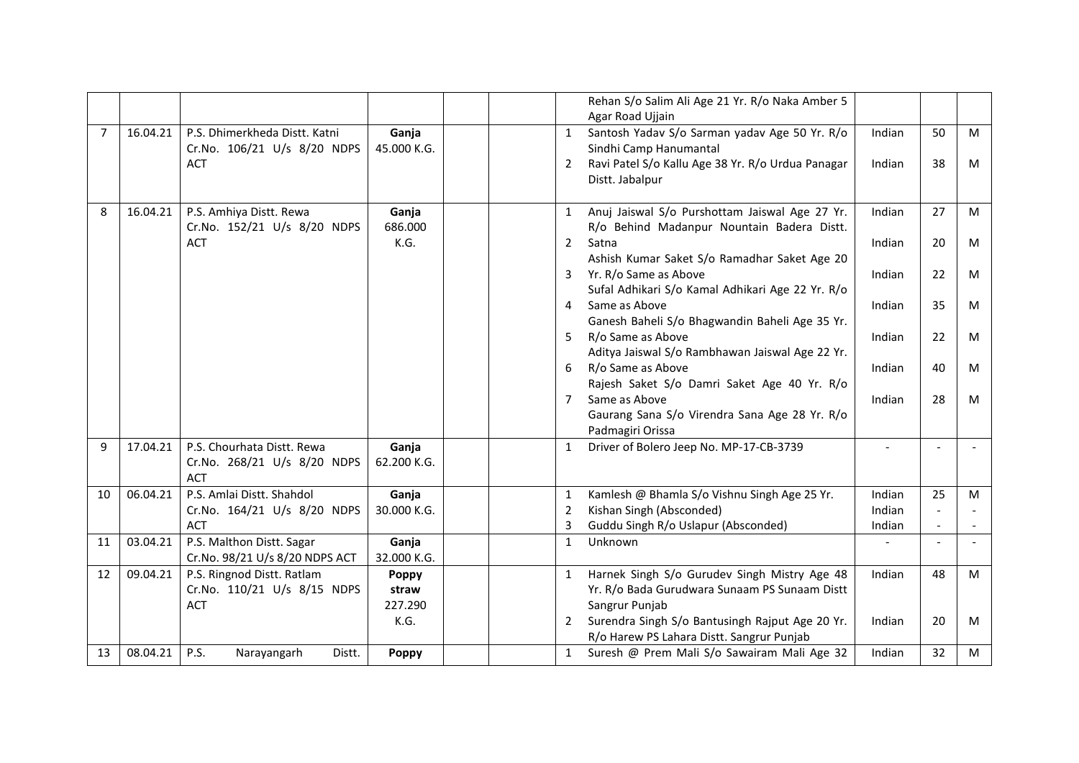|                |          |                                                              |                      |                | Rehan S/o Salim Ali Age 21 Yr. R/o Naka Amber 5<br>Agar Road Ujjain                          |        |                          |   |
|----------------|----------|--------------------------------------------------------------|----------------------|----------------|----------------------------------------------------------------------------------------------|--------|--------------------------|---|
| $\overline{7}$ | 16.04.21 | P.S. Dhimerkheda Distt. Katni<br>Cr.No. 106/21 U/s 8/20 NDPS | Ganja<br>45.000 K.G. | $\mathbf{1}$   | Santosh Yadav S/o Sarman yadav Age 50 Yr. R/o<br>Sindhi Camp Hanumantal                      | Indian | 50                       | M |
|                |          | <b>ACT</b>                                                   |                      | $\overline{2}$ | Ravi Patel S/o Kallu Age 38 Yr. R/o Urdua Panagar<br>Distt. Jabalpur                         | Indian | 38                       | M |
| 8              | 16.04.21 | P.S. Amhiya Distt. Rewa<br>Cr.No. 152/21 U/s 8/20 NDPS       | Ganja<br>686.000     | $\mathbf{1}$   | Anuj Jaiswal S/o Purshottam Jaiswal Age 27 Yr.<br>R/o Behind Madanpur Nountain Badera Distt. | Indian | 27                       | M |
|                |          | <b>ACT</b>                                                   | K.G.                 | $\overline{2}$ | Satna<br>Ashish Kumar Saket S/o Ramadhar Saket Age 20                                        | Indian | 20                       | M |
|                |          |                                                              |                      | 3              | Yr. R/o Same as Above<br>Sufal Adhikari S/o Kamal Adhikari Age 22 Yr. R/o                    | Indian | 22                       | M |
|                |          |                                                              |                      | 4              | Same as Above<br>Ganesh Baheli S/o Bhagwandin Baheli Age 35 Yr.                              | Indian | 35                       | M |
|                |          |                                                              |                      | 5              | R/o Same as Above<br>Aditya Jaiswal S/o Rambhawan Jaiswal Age 22 Yr.                         | Indian | 22                       | M |
|                |          |                                                              |                      | 6              | R/o Same as Above<br>Rajesh Saket S/o Damri Saket Age 40 Yr. R/o                             | Indian | 40                       | M |
|                |          |                                                              |                      | $\overline{7}$ | Same as Above<br>Gaurang Sana S/o Virendra Sana Age 28 Yr. R/o<br>Padmagiri Orissa           | Indian | 28                       | M |
| 9              | 17.04.21 | P.S. Chourhata Distt. Rewa                                   | Ganja                | $\mathbf{1}$   | Driver of Bolero Jeep No. MP-17-CB-3739                                                      |        | $\overline{\phantom{a}}$ |   |
|                |          | Cr.No. 268/21 U/s 8/20 NDPS<br><b>ACT</b>                    | 62.200 K.G.          |                |                                                                                              |        |                          |   |
| 10             | 06.04.21 | P.S. Amlai Distt. Shahdol                                    | Ganja                | $\mathbf{1}$   | Kamlesh @ Bhamla S/o Vishnu Singh Age 25 Yr.                                                 | Indian | 25                       | M |
|                |          | Cr.No. 164/21 U/s 8/20 NDPS                                  | 30.000 K.G.          | $\overline{2}$ | Kishan Singh (Absconded)                                                                     | Indian |                          |   |
|                |          | <b>ACT</b>                                                   |                      | $\overline{3}$ | Guddu Singh R/o Uslapur (Absconded)                                                          | Indian | $\blacksquare$           |   |
| 11             | 03.04.21 | P.S. Malthon Distt. Sagar<br>Cr.No. 98/21 U/s 8/20 NDPS ACT  | Ganja<br>32.000 K.G. | $\mathbf{1}$   | Unknown                                                                                      |        | $\blacksquare$           |   |
| 12             | 09.04.21 | P.S. Ringnod Distt. Ratlam                                   | Poppy                |                | Harnek Singh S/o Gurudev Singh Mistry Age 48                                                 | Indian | 48                       | M |
|                |          | Cr.No. 110/21 U/s 8/15 NDPS                                  | straw                |                | Yr. R/o Bada Gurudwara Sunaam PS Sunaam Distt                                                |        |                          |   |
|                |          | <b>ACT</b>                                                   | 227.290              |                | Sangrur Punjab                                                                               |        |                          |   |
|                |          |                                                              | K.G.                 | 2              | Surendra Singh S/o Bantusingh Rajput Age 20 Yr.<br>R/o Harew PS Lahara Distt. Sangrur Punjab | Indian | 20                       | M |
| 13             | 08.04.21 | P.S.<br>Distt.<br>Narayangarh                                | <b>Poppy</b>         | $\mathbf{1}$   | Suresh @ Prem Mali S/o Sawairam Mali Age 32                                                  | Indian | 32                       | M |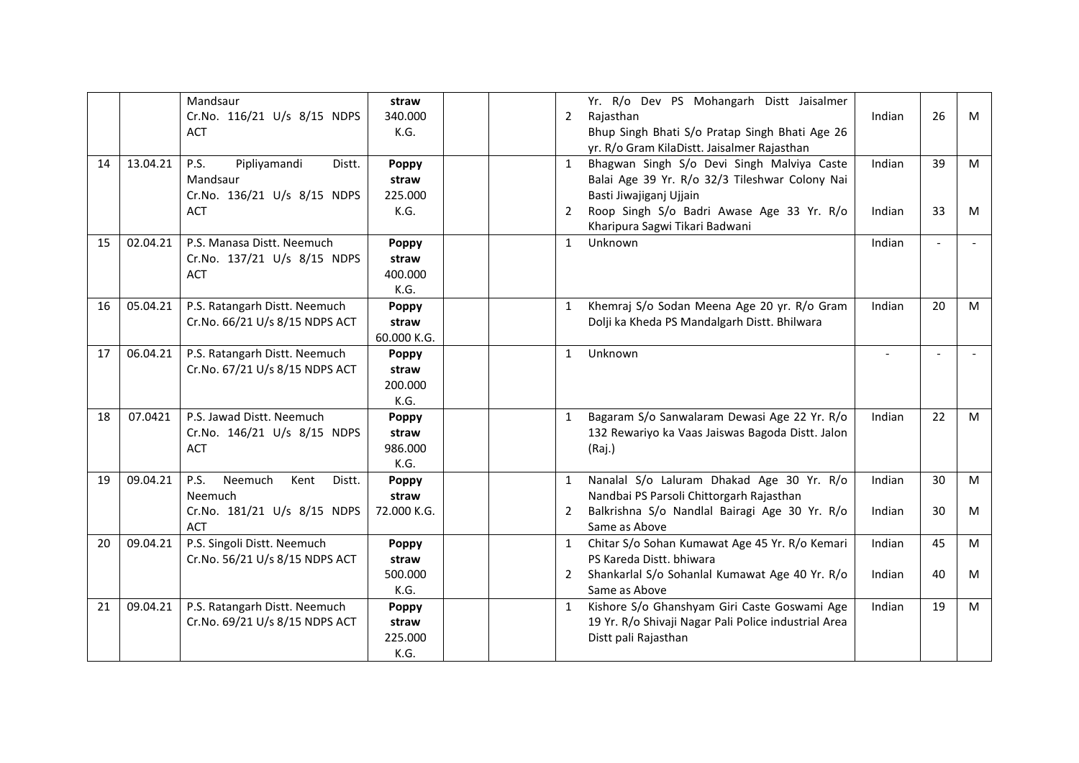|    |          | Mandsaur                                 | straw        |                | Yr. R/o Dev PS Mohangarh Distt Jaisalmer             |                |    |   |
|----|----------|------------------------------------------|--------------|----------------|------------------------------------------------------|----------------|----|---|
|    |          | Cr.No. 116/21 U/s 8/15 NDPS              | 340.000      | $\overline{2}$ | Rajasthan                                            | Indian         | 26 | M |
|    |          | <b>ACT</b>                               | K.G.         |                | Bhup Singh Bhati S/o Pratap Singh Bhati Age 26       |                |    |   |
|    |          |                                          |              |                | yr. R/o Gram KilaDistt. Jaisalmer Rajasthan          |                |    |   |
| 14 | 13.04.21 | Pipliyamandi<br>P.S.<br>Distt.           | Poppy        | $\mathbf{1}$   | Bhagwan Singh S/o Devi Singh Malviya Caste           | Indian         | 39 | M |
|    |          | Mandsaur                                 | straw        |                | Balai Age 39 Yr. R/o 32/3 Tileshwar Colony Nai       |                |    |   |
|    |          | Cr.No. 136/21 U/s 8/15 NDPS              | 225.000      |                | Basti Jiwajiganj Ujjain                              |                |    |   |
|    |          | <b>ACT</b>                               | K.G.         | 2              | Roop Singh S/o Badri Awase Age 33 Yr. R/o            | Indian         | 33 | M |
|    |          |                                          |              |                | Kharipura Sagwi Tikari Badwani                       |                |    |   |
| 15 | 02.04.21 | P.S. Manasa Distt. Neemuch               | Poppy        | $\mathbf{1}$   | Unknown                                              | Indian         |    |   |
|    |          | Cr.No. 137/21 U/s 8/15 NDPS              | straw        |                |                                                      |                |    |   |
|    |          | <b>ACT</b>                               | 400.000      |                |                                                      |                |    |   |
|    |          |                                          | K.G.         |                |                                                      |                |    |   |
| 16 | 05.04.21 | P.S. Ratangarh Distt. Neemuch            | Poppy        | $\mathbf{1}$   | Khemraj S/o Sodan Meena Age 20 yr. R/o Gram          | Indian         | 20 | M |
|    |          | Cr.No. 66/21 U/s 8/15 NDPS ACT           | straw        |                | Dolji ka Kheda PS Mandalgarh Distt. Bhilwara         |                |    |   |
|    |          |                                          | 60.000 K.G.  |                |                                                      |                |    |   |
| 17 | 06.04.21 | P.S. Ratangarh Distt. Neemuch            | Poppy        | $\mathbf{1}$   | Unknown                                              | $\blacksquare$ |    |   |
|    |          | Cr.No. 67/21 U/s 8/15 NDPS ACT           | straw        |                |                                                      |                |    |   |
|    |          |                                          | 200.000      |                |                                                      |                |    |   |
|    |          |                                          | K.G.         |                |                                                      |                |    |   |
| 18 | 07.0421  | P.S. Jawad Distt. Neemuch                | Poppy        | $\mathbf{1}$   | Bagaram S/o Sanwalaram Dewasi Age 22 Yr. R/o         | Indian         | 22 | M |
|    |          | Cr.No. 146/21 U/s 8/15 NDPS              | straw        |                | 132 Rewariyo ka Vaas Jaiswas Bagoda Distt. Jalon     |                |    |   |
|    |          | <b>ACT</b>                               | 986.000      |                | (Raj.)                                               |                |    |   |
|    |          |                                          | K.G.         |                |                                                      |                |    |   |
| 19 | 09.04.21 | Neemuch<br><b>P.S.</b><br>Kent<br>Distt. | Poppy        | $\mathbf{1}$   | Nanalal S/o Laluram Dhakad Age 30 Yr. R/o            | Indian         | 30 | M |
|    |          | Neemuch                                  | straw        |                | Nandbai PS Parsoli Chittorgarh Rajasthan             |                |    |   |
|    |          | Cr.No. 181/21 U/s 8/15 NDPS              | 72.000 K.G.  | 2              | Balkrishna S/o Nandlal Bairagi Age 30 Yr. R/o        | Indian         | 30 | M |
|    |          | <b>ACT</b>                               |              |                | Same as Above                                        |                |    |   |
| 20 | 09.04.21 | P.S. Singoli Distt. Neemuch              | <b>Poppy</b> | $\mathbf{1}$   | Chitar S/o Sohan Kumawat Age 45 Yr. R/o Kemari       | Indian         | 45 | M |
|    |          | Cr.No. 56/21 U/s 8/15 NDPS ACT           | straw        |                | PS Kareda Distt, bhiwara                             |                |    |   |
|    |          |                                          | 500.000      | $2^{\circ}$    | Shankarlal S/o Sohanlal Kumawat Age 40 Yr. R/o       | Indian         | 40 | M |
|    |          |                                          | K.G.         |                | Same as Above                                        |                |    |   |
| 21 | 09.04.21 | P.S. Ratangarh Distt. Neemuch            | Poppy        | $\mathbf{1}$   | Kishore S/o Ghanshyam Giri Caste Goswami Age         | Indian         | 19 | M |
|    |          | Cr.No. 69/21 U/s 8/15 NDPS ACT           | straw        |                | 19 Yr. R/o Shivaji Nagar Pali Police industrial Area |                |    |   |
|    |          |                                          | 225.000      |                | Distt pali Rajasthan                                 |                |    |   |
|    |          |                                          | K.G.         |                |                                                      |                |    |   |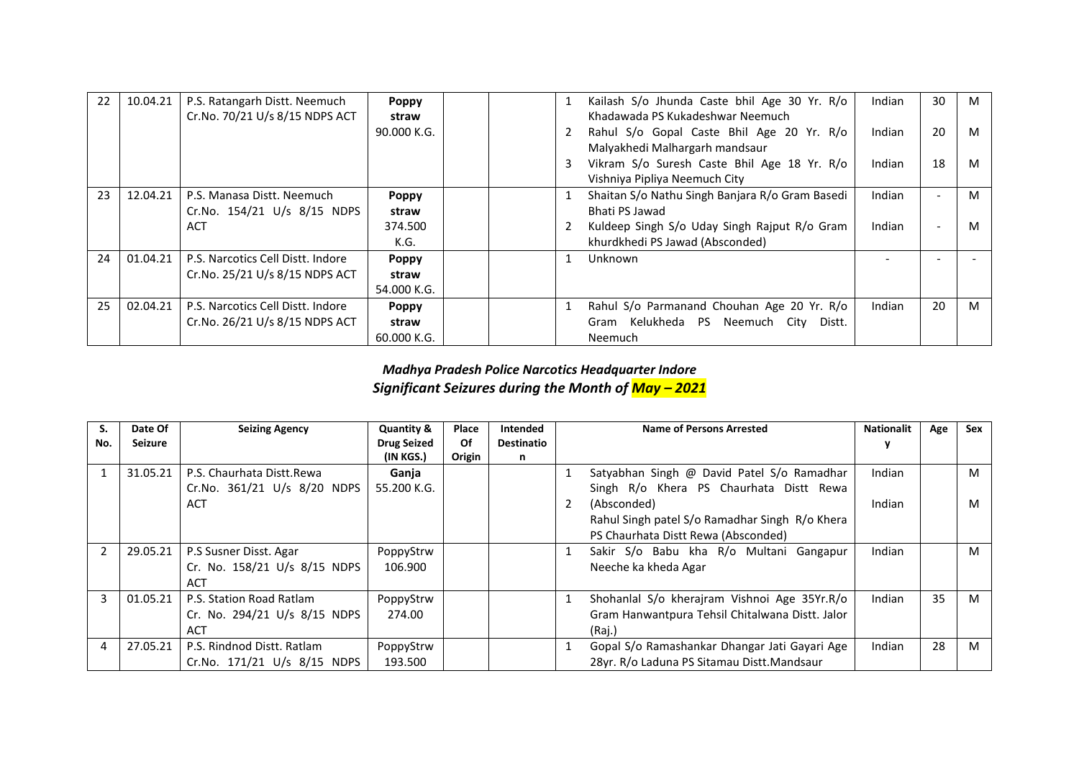| 22 | 10.04.21 | P.S. Ratangarh Distt. Neemuch     | <b>Poppy</b> |  | Kailash S/o Jhunda Caste bhil Age 30 Yr. R/o    | Indian | 30                       | M |
|----|----------|-----------------------------------|--------------|--|-------------------------------------------------|--------|--------------------------|---|
|    |          | Cr.No. 70/21 U/s 8/15 NDPS ACT    | straw        |  | Khadawada PS Kukadeshwar Neemuch                |        |                          |   |
|    |          |                                   | 90.000 K.G.  |  | Rahul S/o Gopal Caste Bhil Age 20 Yr. R/o       | Indian | 20                       | M |
|    |          |                                   |              |  | Malyakhedi Malhargarh mandsaur                  |        |                          |   |
|    |          |                                   |              |  | Vikram S/o Suresh Caste Bhil Age 18 Yr. R/o     | Indian | 18                       | M |
|    |          |                                   |              |  | Vishniya Pipliya Neemuch City                   |        |                          |   |
| 23 | 12.04.21 | P.S. Manasa Distt. Neemuch        | <b>Poppy</b> |  | Shaitan S/o Nathu Singh Banjara R/o Gram Basedi | Indian | $\overline{\phantom{a}}$ | M |
|    |          | Cr.No. 154/21 U/s 8/15 NDPS       | straw        |  | Bhati PS Jawad                                  |        |                          |   |
|    |          | ACT                               | 374.500      |  | Kuldeep Singh S/o Uday Singh Rajput R/o Gram    | Indian | $\overline{\phantom{a}}$ | M |
|    |          |                                   | K.G.         |  | khurdkhedi PS Jawad (Absconded)                 |        |                          |   |
| 24 | 01.04.21 | P.S. Narcotics Cell Distt. Indore | <b>Poppy</b> |  | Unknown                                         |        |                          |   |
|    |          | Cr.No. 25/21 U/s 8/15 NDPS ACT    | straw        |  |                                                 |        |                          |   |
|    |          |                                   | 54.000 K.G.  |  |                                                 |        |                          |   |
| 25 | 02.04.21 | P.S. Narcotics Cell Distt. Indore | <b>Poppy</b> |  | Rahul S/o Parmanand Chouhan Age 20 Yr. R/o      | Indian | 20                       | M |
|    |          | Cr.No. 26/21 U/s 8/15 NDPS ACT    | straw        |  | Gram Kelukheda PS Neemuch City<br>Distt.        |        |                          |   |
|    |          |                                   | 60.000 K.G.  |  | Neemuch                                         |        |                          |   |

## *Madhya Pradesh Police Narcotics Headquarter Indore Significant Seizures during the Month of May – 2021*

| S.  | Date Of        | <b>Seizing Agency</b>        | <b>Quantity &amp;</b> | Place  | Intended          | <b>Name of Persons Arrested</b>                 | <b>Nationalit</b> | Age | Sex |
|-----|----------------|------------------------------|-----------------------|--------|-------------------|-------------------------------------------------|-------------------|-----|-----|
| No. | <b>Seizure</b> |                              | <b>Drug Seized</b>    | Of     | <b>Destinatio</b> |                                                 |                   |     |     |
|     |                |                              | (IN KGS.)             | Origin | n                 |                                                 |                   |     |     |
|     | 31.05.21       | P.S. Chaurhata Distt.Rewa    | Ganja                 |        |                   | Satyabhan Singh @ David Patel S/o Ramadhar      | Indian            |     | M   |
|     |                | Cr.No. 361/21 U/s 8/20 NDPS  | 55.200 K.G.           |        |                   | Singh R/o Khera PS Chaurhata Distt Rewa         |                   |     |     |
|     |                | <b>ACT</b>                   |                       |        |                   | (Absconded)                                     | Indian            |     | M   |
|     |                |                              |                       |        |                   | Rahul Singh patel S/o Ramadhar Singh R/o Khera  |                   |     |     |
|     |                |                              |                       |        |                   | PS Chaurhata Distt Rewa (Absconded)             |                   |     |     |
|     | 29.05.21       | P.S Susner Disst. Agar       | PoppyStrw             |        |                   | Sakir S/o Babu kha R/o Multani Gangapur         | Indian            |     | м   |
|     |                | Cr. No. 158/21 U/s 8/15 NDPS | 106.900               |        |                   | Neeche ka kheda Agar                            |                   |     |     |
|     |                | ACT                          |                       |        |                   |                                                 |                   |     |     |
| 3   | 01.05.21       | P.S. Station Road Ratlam     | PoppyStrw             |        |                   | Shohanlal S/o kherajram Vishnoi Age 35Yr.R/o    | Indian            | 35  | M   |
|     |                | Cr. No. 294/21 U/s 8/15 NDPS | 274.00                |        |                   | Gram Hanwantpura Tehsil Chitalwana Distt. Jalor |                   |     |     |
|     |                | ACT                          |                       |        |                   | (Raj.)                                          |                   |     |     |
| 4   | 27.05.21       | P.S. Rindnod Distt. Ratlam   | PoppyStrw             |        |                   | Gopal S/o Ramashankar Dhangar Jati Gayari Age   | Indian            | 28  | M   |
|     |                | Cr.No. 171/21 U/s 8/15 NDPS  | 193.500               |        |                   | 28yr. R/o Laduna PS Sitamau Distt.Mandsaur      |                   |     |     |